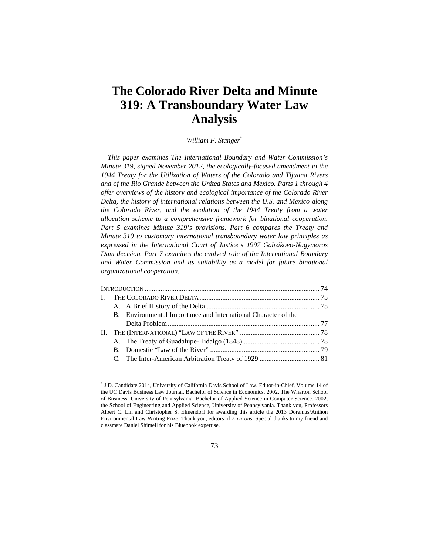# **The Colorado River Delta and Minute 319: A Transboundary Water Law Analysis**

*William F. Stanger\**

*This paper examines The International Boundary and Water Commission's Minute 319, signed November 2012, the ecologically-focused amendment to the 1944 Treaty for the Utilization of Waters of the Colorado and Tijuana Rivers and of the Rio Grande between the United States and Mexico. Parts 1 through 4 offer overviews of the history and ecological importance of the Colorado River Delta, the history of international relations between the U.S. and Mexico along the Colorado River, and the evolution of the 1944 Treaty from a water allocation scheme to a comprehensive framework for binational cooperation. Part 5 examines Minute 319's provisions. Part 6 compares the Treaty and Minute 319 to customary international transboundary water law principles as expressed in the International Court of Justice's 1997 Gabzikovo-Nagymoros Dam decision. Part 7 examines the evolved role of the International Boundary and Water Commission and its suitability as a model for future binational organizational cooperation.* 

|  | B. Environmental Importance and International Character of the |  |
|--|----------------------------------------------------------------|--|
|  |                                                                |  |
|  |                                                                |  |
|  |                                                                |  |
|  |                                                                |  |
|  |                                                                |  |
|  |                                                                |  |

73

<sup>\*</sup> J.D. Candidate 2014, University of California Davis School of Law. Editor-in-Chief, Volume 14 of the UC Davis Business Law Journal. Bachelor of Science in Economics, 2002, The Wharton School of Business, University of Pennsylvania. Bachelor of Applied Science in Computer Science, 2002, the School of Engineering and Applied Science, University of Pennsylvania. Thank you, Professors Albert C. Lin and Christopher S. Elmendorf for awarding this article the 2013 Doremus/Anthon Environmental Law Writing Prize. Thank you, editors of *Environs*. Special thanks to my friend and classmate Daniel Shimell for his Bluebook expertise.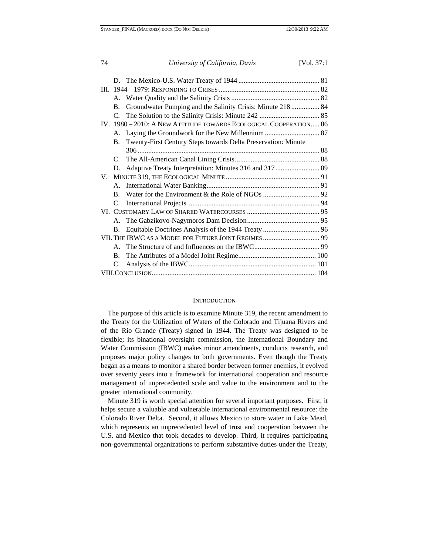| 74             | University of California, Davis                                   | [Vol. 37:1] |
|----------------|-------------------------------------------------------------------|-------------|
|                |                                                                   |             |
|                |                                                                   |             |
|                |                                                                   |             |
| B.             | Groundwater Pumping and the Salinity Crisis: Minute 218  84       |             |
|                |                                                                   |             |
|                | IV. 1980 - 2010: A NEW ATTITUDE TOWARDS ECOLOGICAL COOPERATION 86 |             |
|                |                                                                   |             |
| <b>B.</b>      | Twenty-First Century Steps towards Delta Preservation: Minute     |             |
|                |                                                                   |             |
|                |                                                                   |             |
| D.             |                                                                   |             |
|                |                                                                   |             |
|                |                                                                   |             |
|                |                                                                   |             |
| $C_{\cdot}$    |                                                                   |             |
|                |                                                                   |             |
|                |                                                                   |             |
| B.             |                                                                   |             |
|                | VII. THE IBWC AS A MODEL FOR FUTURE JOINT REGIMES 99              |             |
| $A_{\cdot}$    |                                                                   |             |
| $\mathbf{B}$ . |                                                                   |             |
| C.             |                                                                   |             |
|                |                                                                   |             |

#### **INTRODUCTION**

The purpose of this article is to examine Minute 319, the recent amendment to the Treaty for the Utilization of Waters of the Colorado and Tijuana Rivers and of the Rio Grande (Treaty) signed in 1944. The Treaty was designed to be flexible; its binational oversight commission, the International Boundary and Water Commission (IBWC) makes minor amendments, conducts research, and proposes major policy changes to both governments. Even though the Treaty began as a means to monitor a shared border between former enemies, it evolved over seventy years into a framework for international cooperation and resource management of unprecedented scale and value to the environment and to the greater international community.

Minute 319 is worth special attention for several important purposes. First, it helps secure a valuable and vulnerable international environmental resource: the Colorado River Delta. Second, it allows Mexico to store water in Lake Mead, which represents an unprecedented level of trust and cooperation between the U.S. and Mexico that took decades to develop. Third, it requires participating non-governmental organizations to perform substantive duties under the Treaty,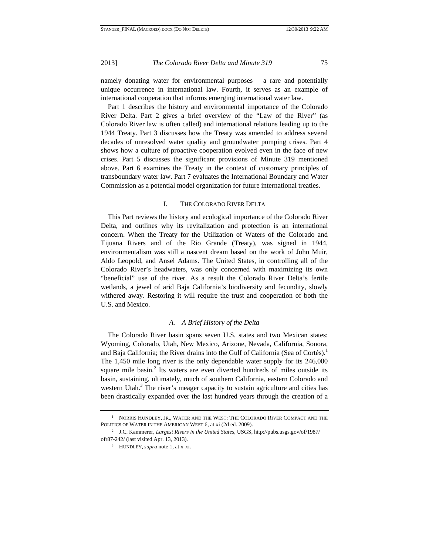namely donating water for environmental purposes – a rare and potentially unique occurrence in international law. Fourth, it serves as an example of international cooperation that informs emerging international water law.

Part 1 describes the history and environmental importance of the Colorado River Delta. Part 2 gives a brief overview of the "Law of the River" (as Colorado River law is often called) and international relations leading up to the 1944 Treaty. Part 3 discusses how the Treaty was amended to address several decades of unresolved water quality and groundwater pumping crises. Part 4 shows how a culture of proactive cooperation evolved even in the face of new crises. Part 5 discusses the significant provisions of Minute 319 mentioned above. Part 6 examines the Treaty in the context of customary principles of transboundary water law. Part 7 evaluates the International Boundary and Water Commission as a potential model organization for future international treaties.

#### I. THE COLORADO RIVER DELTA

This Part reviews the history and ecological importance of the Colorado River Delta, and outlines why its revitalization and protection is an international concern. When the Treaty for the Utilization of Waters of the Colorado and Tijuana Rivers and of the Rio Grande (Treaty), was signed in 1944, environmentalism was still a nascent dream based on the work of John Muir, Aldo Leopold, and Ansel Adams. The United States, in controlling all of the Colorado River's headwaters, was only concerned with maximizing its own "beneficial" use of the river. As a result the Colorado River Delta's fertile wetlands, a jewel of arid Baja California's biodiversity and fecundity, slowly withered away. Restoring it will require the trust and cooperation of both the U.S. and Mexico.

#### *A. A Brief History of the Delta*

The Colorado River basin spans seven U.S. states and two Mexican states: Wyoming, Colorado, Utah, New Mexico, Arizone, Nevada, California, Sonora, and Baja California; the River drains into the Gulf of California (Sea of Cortés).<sup>1</sup> The 1,450 mile long river is the only dependable water supply for its 246,000 square mile basin.<sup>2</sup> Its waters are even diverted hundreds of miles outside its basin, sustaining, ultimately, much of southern California, eastern Colorado and western Utah.<sup>3</sup> The river's meager capacity to sustain agriculture and cities has been drastically expanded over the last hundred years through the creation of a

<sup>1</sup> NORRIS HUNDLEY, JR., WATER AND THE WEST: THE COLORADO RIVER COMPACT AND THE POLITICS OF WATER IN THE AMERICAN WEST 6, at xi (2d ed. 2009).

<sup>2</sup> J.C. Kammerer, *Largest Rivers in the United States*, USGS, http://pubs.usgs.gov/of/1987/ ofr87-242/ (last visited Apr. 13, 2013). 3 HUNDLEY, *supra* note 1, at x-xi.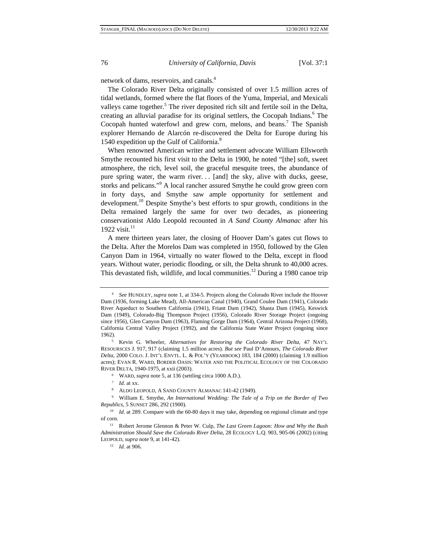network of dams, reservoirs, and canals.4

The Colorado River Delta originally consisted of over 1.5 million acres of tidal wetlands, formed where the flat floors of the Yuma, Imperial, and Mexicali valleys came together.<sup>5</sup> The river deposited rich silt and fertile soil in the Delta, creating an alluvial paradise for its original settlers, the Cocopah Indians.<sup>6</sup> The Cocopah hunted waterfowl and grew corn, melons, and beans.<sup>7</sup> The Spanish explorer Hernando de Alarcón re-discovered the Delta for Europe during his 1540 expedition up the Gulf of California.<sup>8</sup>

When renowned American writer and settlement advocate William Ellsworth Smythe recounted his first visit to the Delta in 1900, he noted "[the] soft, sweet atmosphere, the rich, level soil, the graceful mesquite trees, the abundance of pure spring water, the warm river... [and] the sky, alive with ducks, geese, storks and pelicans."<sup>9</sup> A local rancher assured Smythe he could grow green corn in forty days, and Smythe saw ample opportunity for settlement and development.<sup>10</sup> Despite Smythe's best efforts to spur growth, conditions in the Delta remained largely the same for over two decades, as pioneering conservationist Aldo Leopold recounted in *A Sand County Almanac* after his 1922 visit.<sup>11</sup>

A mere thirteen years later, the closing of Hoover Dam's gates cut flows to the Delta. After the Morelos Dam was completed in 1950, followed by the Glen Canyon Dam in 1964, virtually no water flowed to the Delta, except in flood years. Without water, periodic flooding, or silt, the Delta shrunk to 40,000 acres. This devastated fish, wildlife, and local communities.<sup>12</sup> During a 1980 canoe trip

<sup>4</sup> *See* HUNDLEY, *supra* note 1, at 334-5. Projects along the Colorado River include the Hoover Dam (1936, forming Lake Mead), All-American Canal (1940), Grand Coulee Dam (1941), Colorado River Aqueduct to Southern California (1941), Friant Dam (1942), Shasta Dam (1945), Keswick Dam (1949), Colorado-Big Thompson Project (1956), Colorado River Storage Project (ongoing since 1956), Glen Canyon Dam (1963), Flaming Gorge Dam (1964), Central Arizona Project (1968), California Central Valley Project (1992), and the California State Water Project (ongoing since 1962). 5 Kevin G. Wheeler, *Alternatives for Restoring the Colorado River Delta*, 47 NAT'L

RESOURSCES J. 917, 917 (claiming 1.5 million acres). *But see* Paul D'Amours, *The Colorado River Delta*, 2000 COLO. J. INT'L ENVTL. L. & POL'Y (YEARBOOK) 183, 184 (2000) (claiming 1.9 million acres); EVAN R. WARD, BORDER OASIS: WATER AND THE POLITICAL ECOLOGY OF THE COLORADO RIVER DELTA, 1940-1975, at xxii (2003). 6 WARD, *supra* note 5, at 136 (settling circa 1000 A.D.).

<sup>7</sup> *Id.* at xx.

<sup>8</sup> ALDO LEOPOLD, A SAND COUNTY ALMANAC 141-42 (1949).

<sup>9</sup> William E. Smythe, *An International Wedding: The Tale of a Trip on the Border of Two Republics*, 5 SUNSET 286, 292 (1900).

<sup>&</sup>lt;sup>10</sup> *Id.* at 289. Compare with the 60-80 days it may take, depending on regional climate and type

of corn. 11 Robert Jerome Glennon & Peter W. Culp, *The Last Green Lagoon: How and Why the Bush Administration Should Save the Colorado River Delta*, 28 ECOLOGY L.Q. 903, 905-06 (2002) (citing LEOPOLD, *supra* note 9, at 141-42).

<sup>12</sup> *Id.* at 906.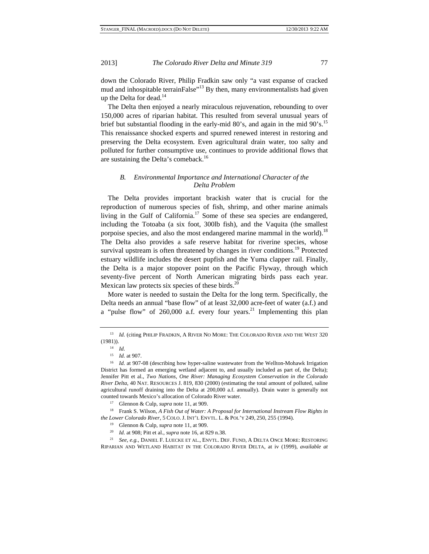down the Colorado River, Philip Fradkin saw only "a vast expanse of cracked mud and inhospitable terrainFalse $^{13}$  By then, many environmentalists had given up the Delta for dead. $14$ 

The Delta then enjoyed a nearly miraculous rejuvenation, rebounding to over 150,000 acres of riparian habitat. This resulted from several unusual years of brief but substantial flooding in the early-mid 80's, and again in the mid 90's.<sup>15</sup> This renaissance shocked experts and spurred renewed interest in restoring and preserving the Delta ecosystem. Even agricultural drain water, too salty and polluted for further consumptive use, continues to provide additional flows that are sustaining the Delta's comeback.<sup>16</sup>

# *B. Environmental Importance and International Character of the Delta Problem*

The Delta provides important brackish water that is crucial for the reproduction of numerous species of fish, shrimp, and other marine animals living in the Gulf of California.<sup>17</sup> Some of these sea species are endangered, including the Totoaba (a six foot, 300lb fish), and the Vaquita (the smallest porpoise species, and also the most endangered marine mammal in the world).<sup>18</sup> The Delta also provides a safe reserve habitat for riverine species, whose survival upstream is often threatened by changes in river conditions.<sup>19</sup> Protected estuary wildlife includes the desert pupfish and the Yuma clapper rail. Finally, the Delta is a major stopover point on the Pacific Flyway, through which seventy-five percent of North American migrating birds pass each year. Mexican law protects six species of these birds. $^{20}$ 

More water is needed to sustain the Delta for the long term. Specifically, the Delta needs an annual "base flow" of at least 32,000 acre-feet of water (a.f.) and a "pulse flow" of 260,000 a.f. every four years.<sup>21</sup> Implementing this plan

counted towards Mexico's allocation of Colorado River water.<br><sup>17</sup> Glennon & Culp, *supra* note 11, at 909.<br><sup>18</sup> Frank S. Wilson, *A Fish Out of Water: A Proposal for International Instream Flow Rights in the Lower Colorado River*, 5 COLO. J. INT'L ENVTL. L. & POL'Y 249, 250, 255 (1994).

21 *See, e.g.,* DANIEL F. LUECKE ET AL., ENVTL. DEF. FUND, A DELTA ONCE MORE: RESTORING RIPARIAN AND WETLAND HABITAT IN THE COLORADO RIVER DELTA, at iv (1999), *available at* 

<sup>&</sup>lt;sup>13</sup> *Id.* (citing PHILIP FRADKIN, A RIVER NO MORE: THE COLORADO RIVER AND THE WEST 320  $(1981)$ ).<br><sup>14</sup> *Id.* 

<sup>&</sup>lt;sup>15</sup>*Id.* at 907.<br><sup>16</sup>*Id.* at 907-08 (describing how hyper-saline wastewater from the Wellton-Mohawk Irrigation District has formed an emerging wetland adjacent to, and usually included as part of, the Delta); Jennifer Pitt et al., *Two Nations, One River: Managing Ecosystem Conservation in the Colorado River Delta*, 40 NAT. RESOURCES J. 819, 830 (2000) (estimating the total amount of polluted, saline agricultural runoff draining into the Delta at 200,000 a.f. annually). Drain water is generally not

<sup>19</sup> Glennon & Culp, *supra* note 11, at 909.

<sup>20</sup> *Id.* at 908; Pitt et al., *supra* note 16, at 829 n.38.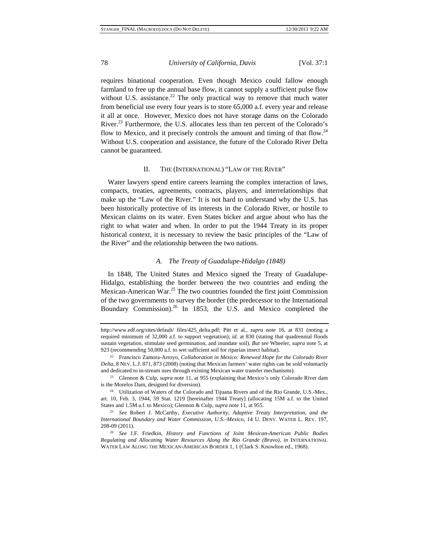requires binational cooperation. Even though Mexico could fallow enough farmland to free up the annual base flow, it cannot supply a sufficient pulse flow without U.S. assistance.<sup>22</sup> The only practical way to remove that much water from beneficial use every four years is to store 65,000 a.f. every year and release it all at once. However, Mexico does not have storage dams on the Colorado River.23 Furthermore, the U.S. allocates less than ten percent of the Colorado's flow to Mexico, and it precisely controls the amount and timing of that flow.<sup>24</sup> Without U.S. cooperation and assistance, the future of the Colorado River Delta cannot be guaranteed.

#### II. THE (INTERNATIONAL) "LAW OF THE RIVER"

Water lawyers spend entire careers learning the complex interaction of laws, compacts, treaties, agreements, contracts, players, and interrelationships that make up the "Law of the River." It is not hard to understand why the U.S. has been historically protective of its interests in the Colorado River, or hostile to Mexican claims on its water. Even States bicker and argue about who has the right to what water and when. In order to put the 1944 Treaty in its proper historical context, it is necessary to review the basic principles of the "Law of the River" and the relationship between the two nations.

#### *A. The Treaty of Guadalupe-Hidalgo (1848)*

In 1848, The United States and Mexico signed the Treaty of Guadalupe-Hidalgo, establishing the border between the two countries and ending the Mexican-American War.<sup>25</sup> The two countries founded the first joint Commission of the two governments to survey the border (the predecessor to the International Boundary Commission).<sup>26</sup> In 1853, the U.S. and Mexico completed the

is the Morelos Dam, designed for diversion).

http://www.edf.org/sites/default/ files/425\_delta.pdf; Pitt et al., *supra* note 16, at 831 (noting a required minimum of 32,000 a.f. to support vegetation); *id.* at 830 (stating that quadrennial floods sustain vegetation, stimulate seed germination, and inundate soil). *But see* Wheeler, *supra* note 5, at 923 (recommending 50,000 a.f. to wet sufficient soil for riparian insect habitat).

<sup>22</sup> Francisco Zamora-Arroyo, *Collaboration in Mexico: Renewed Hope for the Colorado River Delta*, 8 NEV. L.J. 871, 873 (2008) (noting that Mexican farmers' water rights can be sold voluntarily and dedicated to in-stream uses through existing Mexican water transfer mechanisms). 23 Glennon & Culp, *supra* note 11, at 955 (explaining that Mexico's only Colorado River dam

<sup>&</sup>lt;sup>24</sup> Utilization of Waters of the Colorado and Tijuana Rivers and of the Rio Grande, U.S.-Mex., art. 10, Feb. 3, 1944, 59 Stat. 1219 [hereinafter 1944 Treaty] (allocating 15M a.f. to the United States and 1.5M a.f. to Mexico); Glennon & Culp, *supra* note 11, at 955.<br><sup>25</sup> *See* Robert J. McCarthy, *Executive Authority, Adaptive Treaty Interpretation, and the* 

*International Boundary and Water Commission, U.S.–Mexico*, 14 U. DENV. WATER L. REV. 197, 208-09 (2011). 26 *See* J.F. Friedkin, *History and Functions of Joint Mexican-American Public Bodies* 

*Regulating and Allocating Water Resources Along the Rio Grande (Bravo)*, *in* INTERNATIONAL WATER LAW ALONG THE MEXICAN-AMERICAN BORDER 1, 1 (Clark S. Knowlton ed., 1968).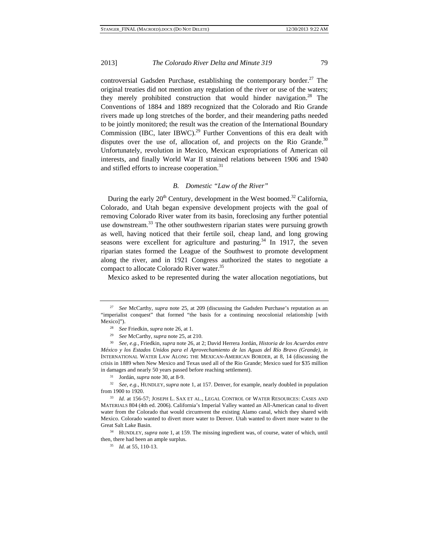controversial Gadsden Purchase, establishing the contemporary border.<sup>27</sup> The original treaties did not mention any regulation of the river or use of the waters; they merely prohibited construction that would hinder navigation.<sup>28</sup> The Conventions of 1884 and 1889 recognized that the Colorado and Rio Grande rivers made up long stretches of the border, and their meandering paths needed to be jointly monitored; the result was the creation of the International Boundary Commission (IBC, later IBWC).<sup>29</sup> Further Conventions of this era dealt with disputes over the use of, allocation of, and projects on the Rio Grande. $30$ Unfortunately, revolution in Mexico, Mexican expropriations of American oil interests, and finally World War II strained relations between 1906 and 1940 and stifled efforts to increase cooperation.<sup>31</sup>

# *B. Domestic "Law of the River"*

During the early  $20<sup>th</sup>$  Century, development in the West boomed.<sup>32</sup> California, Colorado, and Utah began expensive development projects with the goal of removing Colorado River water from its basin, foreclosing any further potential use downstream.<sup>33</sup> The other southwestern riparian states were pursuing growth as well, having noticed that their fertile soil, cheap land, and long growing seasons were excellent for agriculture and pasturing. $34$  In 1917, the seven riparian states formed the League of the Southwest to promote development along the river, and in 1921 Congress authorized the states to negotiate a compact to allocate Colorado River water.<sup>35</sup>

Mexico asked to be represented during the water allocation negotiations, but

35 *Id.* at 55, 110-13.

<sup>27</sup> *See* McCarthy, *supra* note 25, at 209 (discussing the Gadsden Purchase's reputation as an "imperialist conquest" that formed "the basis for a continuing neocolonial relationship [with Mexico]"). 28 *See* Friedkin, *supra* note 26, at 1. 29 *See* McCarthy, *supra* note 25, at 210.

<sup>30</sup> *See, e.g.*, Friedkin, *supra* note 26, at 2; David Herrera Jordán, *Historia de los Acuerdos entre México y los Estados Unidos para el Aprovechamiento de las Aguas del Río Bravo (Grande)*, *in*  INTERNATIONAL WATER LAW ALONG THE MEXICAN-AMERICAN BORDER, at 8, 14 (discussing the crisis in 1889 when New Mexico and Texas used all of the Rio Grande; Mexico sued for \$35 million in damages and nearly 50 years passed before reaching settlement).

<sup>31</sup> Jordán, *supra* note 30, at 8-9.

<sup>32</sup> *See, e.g.*, HUNDLEY, *supra* note 1, at 157. Denver, for example, nearly doubled in population from 1900 to 1920. 33 *Id.* at 156-57; JOSEPH L. SAX ET AL., LEGAL CONTROL OF WATER RESOURCES: CASES AND

MATERIALS 804 (4th ed. 2006). California's Imperial Valley wanted an All-American canal to divert water from the Colorado that would circumvent the existing Alamo canal, which they shared with Mexico. Colorado wanted to divert more water to Denver. Utah wanted to divert more water to the Great Salt Lake Basin. 34 HUNDLEY, *supra* note 1, at 159. The missing ingredient was, of course, water of which, until

then, there had been an ample surplus.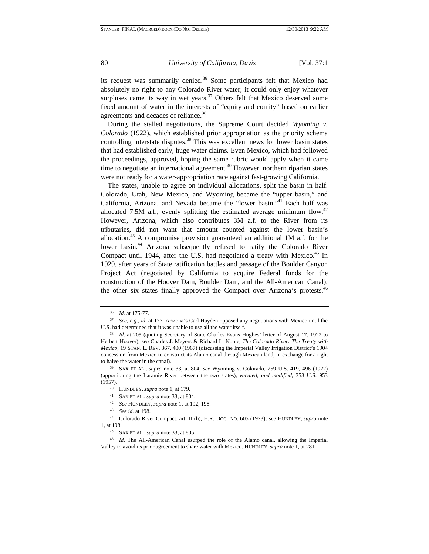its request was summarily denied.<sup>36</sup> Some participants felt that Mexico had absolutely no right to any Colorado River water; it could only enjoy whatever surpluses came its way in wet years. $37$  Others felt that Mexico deserved some fixed amount of water in the interests of "equity and comity" based on earlier agreements and decades of reliance.<sup>38</sup>

During the stalled negotiations, the Supreme Court decided *Wyoming v. Colorado* (1922), which established prior appropriation as the priority schema controlling interstate disputes.<sup>39</sup> This was excellent news for lower basin states that had established early, huge water claims. Even Mexico, which had followed the proceedings, approved, hoping the same rubric would apply when it came time to negotiate an international agreement.<sup>40</sup> However, northern riparian states were not ready for a water-appropriation race against fast-growing California.

The states, unable to agree on individual allocations, split the basin in half. Colorado, Utah, New Mexico, and Wyoming became the "upper basin," and California, Arizona, and Nevada became the "lower basin."41 Each half was allocated 7.5M a.f., evenly splitting the estimated average minimum flow.<sup>42</sup> However, Arizona, which also contributes 3M a.f. to the River from its tributaries, did not want that amount counted against the lower basin's allocation.43 A compromise provision guaranteed an additional 1M a.f. for the lower basin.44 Arizona subsequently refused to ratify the Colorado River Compact until 1944, after the U.S. had negotiated a treaty with Mexico.<sup>45</sup> In 1929, after years of State ratification battles and passage of the Boulder Canyon Project Act (negotiated by California to acquire Federal funds for the construction of the Hoover Dam, Boulder Dam, and the All-American Canal), the other six states finally approved the Compact over Arizona's protests.<sup>46</sup>

<sup>36</sup> *Id.* at 175-77.

<sup>37</sup> *See, e.g.*, *id.* at 177. Arizona's Carl Hayden opposed any negotiations with Mexico until the

U.S. had determined that it was unable to use all the water itself.<br><sup>38</sup> *Id.* at 205 (quoting Secretary of State Charles Evans Hughes' letter of August 17, 1922 to Herbert Hoover); s*ee* Charles J. Meyers & Richard L. Noble, *The Colorado River: The Treaty with Mexico*, 19 STAN. L. REV. 367, 400 (1967) (discussing the Imperial Valley Irrigation District's 1904 concession from Mexico to construct its Alamo canal through Mexican land, in exchange for a right to halve the water in the canal). 39 SAX ET AL., *supra* note 33, at 804; *see* Wyoming v. Colorado, 259 U.S. 419, 496 (1922)

<sup>(</sup>apportioning the Laramie River between the two states), *vacated, and modified*, 353 U.S. 953

<sup>(1957).&</sup>lt;br>
40 HUNDLEY, *supra* note 1, at 179.<br>
41 SAX ET AL., *supra* note 33, at 804.<br>
42 See HUNDLEY, *supra* note 1, at 192, 198.<br>
43 See id. at 198.<br>
44 Colorado River Compact, art. III(b), H.R. Doc. No. 605 (1923); *s* 1, at 198. 45 SAX ET AL., *supra* note 33, at 805.

<sup>46</sup> *Id.* The All-American Canal usurped the role of the Alamo canal, allowing the Imperial Valley to avoid its prior agreement to share water with Mexico. HUNDLEY, *supra* note 1, at 281.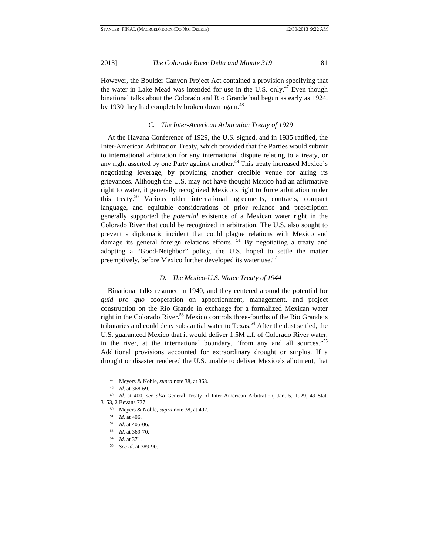However, the Boulder Canyon Project Act contained a provision specifying that the water in Lake Mead was intended for use in the U.S. only.<sup>47</sup> Even though binational talks about the Colorado and Rio Grande had begun as early as 1924, by 1930 they had completely broken down again.<sup>48</sup>

#### *C. The Inter-American Arbitration Treaty of 1929*

At the Havana Conference of 1929, the U.S. signed, and in 1935 ratified, the Inter-American Arbitration Treaty, which provided that the Parties would submit to international arbitration for any international dispute relating to a treaty, or any right asserted by one Party against another.<sup>49</sup> This treaty increased Mexico's negotiating leverage, by providing another credible venue for airing its grievances. Although the U.S. may not have thought Mexico had an affirmative right to water, it generally recognized Mexico's right to force arbitration under this treaty.50 Various older international agreements, contracts, compact language, and equitable considerations of prior reliance and prescription generally supported the *potential* existence of a Mexican water right in the Colorado River that could be recognized in arbitration. The U.S. also sought to prevent a diplomatic incident that could plague relations with Mexico and damage its general foreign relations efforts. <sup>51</sup> By negotiating a treaty and adopting a "Good-Neighbor" policy, the U.S. hoped to settle the matter preemptively, before Mexico further developed its water use.<sup>52</sup>

#### *D. The Mexico-U.S. Water Treaty of 1944*

Binational talks resumed in 1940, and they centered around the potential for *quid pro quo* cooperation on apportionment, management, and project construction on the Rio Grande in exchange for a formalized Mexican water right in the Colorado River.<sup>53</sup> Mexico controls three-fourths of the Rio Grande's tributaries and could deny substantial water to  $Texas<sup>54</sup>$ . After the dust settled, the U.S. guaranteed Mexico that it would deliver 1.5M a.f. of Colorado River water, in the river, at the international boundary, "from any and all sources."<sup>55</sup> Additional provisions accounted for extraordinary drought or surplus. If a drought or disaster rendered the U.S. unable to deliver Mexico's allotment, that

<sup>47</sup> Meyers & Noble, *supra* note 38, at 368.

<sup>48</sup> *Id*. at 368-69.

<sup>49</sup> *Id.* at 400; *see also* General Treaty of Inter-American Arbitration, Jan. 5, 1929, 49 Stat. 3153, 2 Bevans 737.

<sup>50</sup> Meyers & Noble, *supra* note 38, at 402.

<sup>51</sup> *Id.* at 406.

<sup>52</sup> *Id.* at 405-06.

<sup>53</sup> *Id.* at 369-70.

<sup>54</sup> *Id.* at 371.

<sup>55</sup> *See id.* at 389-90.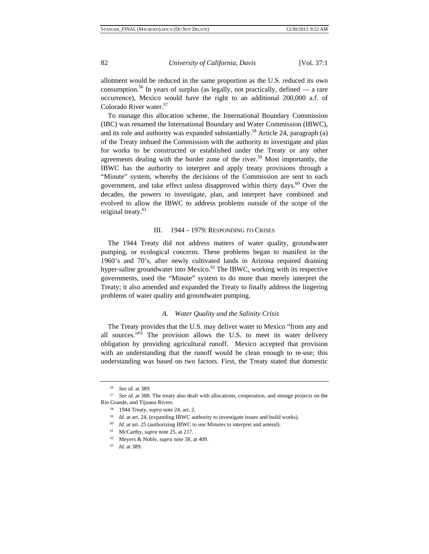allotment would be reduced in the same proportion as the U.S. reduced its own consumption.<sup>56</sup> In years of surplus (as legally, not practically, defined — a rare occurrence), Mexico would have the right to an additional 200,000 a.f. of Colorado River water.<sup>57</sup>

To manage this allocation scheme, the International Boundary Commission (IBC) was renamed the International Boundary and Water Commission (IBWC), and its role and authority was expanded substantially.<sup>58</sup> Article 24, paragraph (a) of the Treaty imbued the Commission with the authority to investigate and plan for works to be constructed or established under the Treaty or any other agreements dealing with the border zone of the river.<sup>59</sup> Most importantly, the IBWC has the authority to interpret and apply treaty provisions through a "Minute" system, whereby the decisions of the Commission are sent to each government, and take effect unless disapproved within thirty days. $60$  Over the decades, the powers to investigate, plan, and interpret have combined and evolved to allow the IBWC to address problems outside of the scope of the original treaty.<sup>61</sup>

#### III. 1944 – 1979: RESPONDING TO CRISES

The 1944 Treaty did not address matters of water quality, groundwater pumping, or ecological concerns. These problems began to manifest in the 1960's and 70's, after newly cultivated lands in Arizona required draining hyper-saline groundwater into Mexico. $62$  The IBWC, working with its respective governments, used the "Minute" system to do more than merely interpret the Treaty; it also amended and expanded the Treaty to finally address the lingering problems of water quality and groundwater pumping.

#### *A. Water Quality and the Salinity Crisis*

The Treaty provides that the U.S. may deliver water to Mexico "from any and all sources."63 The provision allows the U.S. to meet its water delivery obligation by providing agricultural runoff. Mexico accepted that provision with an understanding that the runoff would be clean enough to re-use; this understanding was based on two factors. First, the Treaty stated that domestic

<sup>56</sup> *See id.* at 389.

<sup>57</sup> *See id.* at 388. The treaty also dealt with allocations, cooperation, and storage projects on the Rio Grande, and Tijuana Rivers.

<sup>58 1944</sup> Treaty, *supra* note 24, art. 2.

<sup>59</sup> *Id.* at art. 24, (expanding IBWC authority to investigate issues and build works).

<sup>&</sup>lt;sup>60</sup> *Id.* at art. 25 (authorizing IBWC to use Minutes to interpret and amend).

<sup>61</sup> McCarthy, *supra* note 25, at 217.

<sup>62</sup> Meyers & Noble, *supra* note 38, at 409.

<sup>63</sup> *Id.* at 389.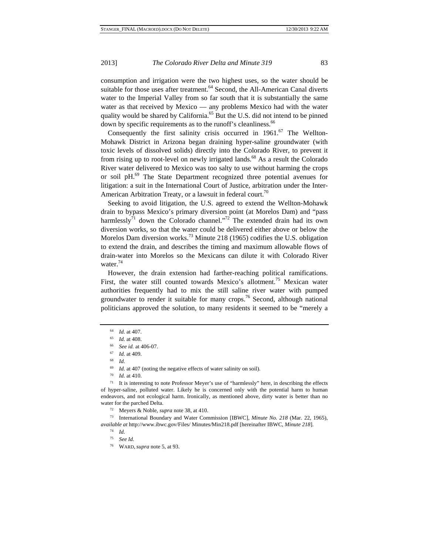consumption and irrigation were the two highest uses, so the water should be suitable for those uses after treatment.<sup>64</sup> Second, the All-American Canal diverts water to the Imperial Valley from so far south that it is substantially the same water as that received by Mexico — any problems Mexico had with the water quality would be shared by California.<sup>65</sup> But the U.S. did not intend to be pinned down by specific requirements as to the runoff's cleanliness.<sup>66</sup>

Consequently the first salinity crisis occurred in  $1961$ .<sup>67</sup> The Wellton-Mohawk District in Arizona began draining hyper-saline groundwater (with toxic levels of dissolved solids) directly into the Colorado River, to prevent it from rising up to root-level on newly irrigated lands.<sup>68</sup> As a result the Colorado River water delivered to Mexico was too salty to use without harming the crops or soil pH.69 The State Department recognized three potential avenues for litigation: a suit in the International Court of Justice, arbitration under the Inter-American Arbitration Treaty, or a lawsuit in federal court.<sup>70</sup>

Seeking to avoid litigation, the U.S. agreed to extend the Wellton-Mohawk drain to bypass Mexico's primary diversion point (at Morelos Dam) and "pass harmlessly<sup>71</sup> down the Colorado channel."<sup>72</sup> The extended drain had its own diversion works, so that the water could be delivered either above or below the Morelos Dam diversion works.<sup>73</sup> Minute 218 (1965) codifies the U.S. obligation to extend the drain, and describes the timing and maximum allowable flows of drain-water into Morelos so the Mexicans can dilute it with Colorado River water.<sup>74</sup>

However, the drain extension had farther-reaching political ramifications. First, the water still counted towards Mexico's allotment.<sup>75</sup> Mexican water authorities frequently had to mix the still saline river water with pumped groundwater to render it suitable for many crops.<sup>76</sup> Second, although national politicians approved the solution, to many residents it seemed to be "merely a

71 It is interesting to note Professor Meyer's use of "harmlessly" here, in describing the effects of hyper-saline, polluted water. Likely he is concerned only with the potential harm to human endeavors, and not ecological harm. Ironically, as mentioned above, dirty water is better than no water for the parched Delta. 72 Meyers & Noble, *supra* note 38, at 410.

73 International Boundary and Water Commission [IBWC], *Minute No. 218* (Mar. 22, 1965), *available at* http://www.ibwc.gov/Files/ Minutes/Min218.pdf [hereinafter IBWC, *Minute 218*].

<sup>64</sup>*Id.* at 407. 65 *Id.* at 408. 66 *See id.* at 406-07. 67 *Id.* at 409.

<sup>68</sup> *Id.*

<sup>69</sup>*Id.* at 407 (noting the negative effects of water salinity on soil). 70 *Id.* at 410.

<sup>74</sup> *Id.*

<sup>75</sup> *See Id.*

<sup>76</sup> WARD, *supra* note 5, at 93.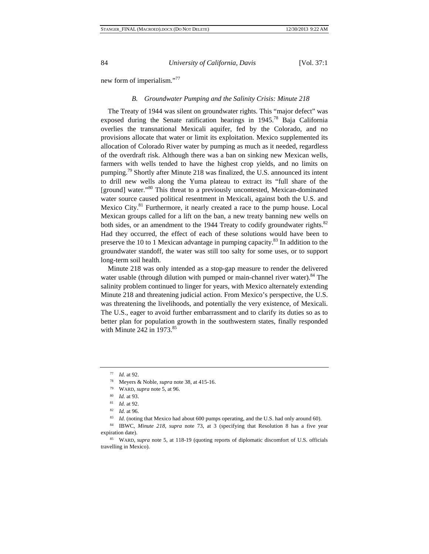new form of imperialism."<sup>77</sup>

#### *B. Groundwater Pumping and the Salinity Crisis: Minute 218*

The Treaty of 1944 was silent on groundwater rights. This "major defect" was exposed during the Senate ratification hearings in 1945.<sup>78</sup> Baja California overlies the transnational Mexicali aquifer, fed by the Colorado, and no provisions allocate that water or limit its exploitation. Mexico supplemented its allocation of Colorado River water by pumping as much as it needed, regardless of the overdraft risk. Although there was a ban on sinking new Mexican wells, farmers with wells tended to have the highest crop yields, and no limits on pumping.79 Shortly after Minute 218 was finalized, the U.S. announced its intent to drill new wells along the Yuma plateau to extract its "full share of the [ground] water."<sup>80</sup> This threat to a previously uncontested, Mexican-dominated water source caused political resentment in Mexicali, against both the U.S. and Mexico City.<sup>81</sup> Furthermore, it nearly created a race to the pump house. Local Mexican groups called for a lift on the ban, a new treaty banning new wells on both sides, or an amendment to the 1944 Treaty to codify groundwater rights.<sup>82</sup> Had they occurred, the effect of each of these solutions would have been to preserve the 10 to 1 Mexican advantage in pumping capacity.<sup>83</sup> In addition to the groundwater standoff, the water was still too salty for some uses, or to support long-term soil health.

Minute 218 was only intended as a stop-gap measure to render the delivered water usable (through dilution with pumped or main-channel river water).<sup>84</sup> The salinity problem continued to linger for years, with Mexico alternately extending Minute 218 and threatening judicial action. From Mexico's perspective, the U.S. was threatening the livelihoods, and potentially the very existence, of Mexicali. The U.S., eager to avoid further embarrassment and to clarify its duties so as to better plan for population growth in the southwestern states, finally responded with Minute 242 in  $1973$ .<sup>85</sup>

<sup>&</sup>lt;sup>77</sup> *Id.* at 92.<br>
<sup>78</sup> Meyers & Noble, *supra* note 38, at 415-16.<br>
<sup>79</sup> WARD, *supra* note 5, at 96.<br>
<sup>80</sup> *Id.* at 93.<br>
<sup>81</sup> *Id.* at 92.<br>
<sup>82</sup> *Id.* at 96.<br>
<sup>82</sup> *Id.* at 96.<br>
<sup>83</sup> *Id.* (noting that Mexico had about expiration date).<br><sup>85</sup> WARD, *supra* note 5, at 118-19 (quoting reports of diplomatic discomfort of U.S. officials

travelling in Mexico).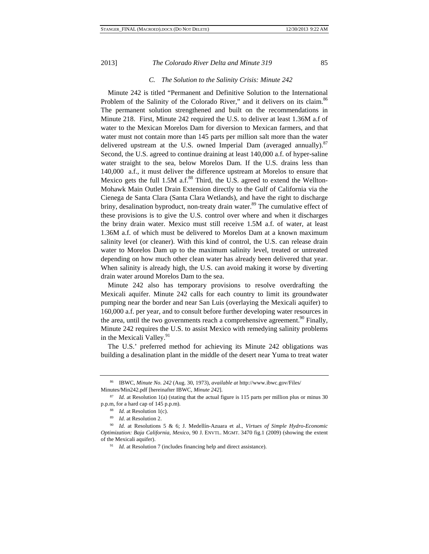# *C. The Solution to the Salinity Crisis: Minute 242*

Minute 242 is titled "Permanent and Definitive Solution to the International Problem of the Salinity of the Colorado River," and it delivers on its claim.<sup>86</sup> The permanent solution strengthened and built on the recommendations in Minute 218. First, Minute 242 required the U.S. to deliver at least 1.36M a.f of water to the Mexican Morelos Dam for diversion to Mexican farmers, and that water must not contain more than 145 parts per million salt more than the water delivered upstream at the U.S. owned Imperial Dam (averaged annually).<sup>87</sup> Second, the U.S. agreed to continue draining at least 140,000 a.f. of hyper-saline water straight to the sea, below Morelos Dam. If the U.S. drains less than 140,000 a.f., it must deliver the difference upstream at Morelos to ensure that Mexico gets the full 1.5M a.f. $88$  Third, the U.S. agreed to extend the Wellton-Mohawk Main Outlet Drain Extension directly to the Gulf of California via the Cienega de Santa Clara (Santa Clara Wetlands), and have the right to discharge briny, desalination byproduct, non-treaty drain water.<sup>89</sup> The cumulative effect of these provisions is to give the U.S. control over where and when it discharges the briny drain water. Mexico must still receive 1.5M a.f. of water, at least 1.36M a.f. of which must be delivered to Morelos Dam at a known maximum salinity level (or cleaner). With this kind of control, the U.S. can release drain water to Morelos Dam up to the maximum salinity level, treated or untreated depending on how much other clean water has already been delivered that year. When salinity is already high, the U.S. can avoid making it worse by diverting drain water around Morelos Dam to the sea.

Minute 242 also has temporary provisions to resolve overdrafting the Mexicali aquifer. Minute 242 calls for each country to limit its groundwater pumping near the border and near San Luis (overlaying the Mexicali aquifer) to 160,000 a.f. per year, and to consult before further developing water resources in the area, until the two governments reach a comprehensive agreement.<sup>90</sup> Finally, Minute 242 requires the U.S. to assist Mexico with remedying salinity problems in the Mexicali Valley.<sup>91</sup>

The U.S.' preferred method for achieving its Minute 242 obligations was building a desalination plant in the middle of the desert near Yuma to treat water

<sup>86</sup> IBWC, *Minute No. 242* (Aug. 30, 1973), *available at* http://www.ibwc.gov/Files/ Minutes/Min242.pdf [hereinafter IBWC, *Minute 242*].

<sup>&</sup>lt;sup>87</sup> *Id.* at Resolution 1(a) (stating that the actual figure is 115 parts per million plus or minus 30

p.p.m, for a hard cap of 145 p.p.m).<br><sup>88</sup> *Id.* at Resolution 1(c).<br><sup>89</sup> *Id.* at Resolutions 5 & 6; J. Medellín-Azuara et al., *Virtues of Simple Hydro-Economic Optimization: Baja California, Mexico*, 90 J. ENVTL. MGMT. 3470 fig.1 (2009) (showing the extent of the Mexicali aquifer).

<sup>&</sup>lt;sup>91</sup> *Id.* at Resolution 7 (includes financing help and direct assistance).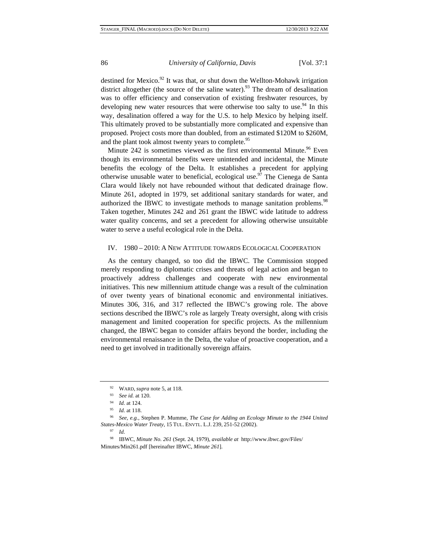destined for Mexico. $92$  It was that, or shut down the Wellton-Mohawk irrigation district altogether (the source of the saline water).<sup>93</sup> The dream of desalination was to offer efficiency and conservation of existing freshwater resources, by developing new water resources that were otherwise too salty to use.<sup>94</sup> In this way, desalination offered a way for the U.S. to help Mexico by helping itself. This ultimately proved to be substantially more complicated and expensive than proposed. Project costs more than doubled, from an estimated \$120M to \$260M, and the plant took almost twenty years to complete.<sup>95</sup>

Minute 242 is sometimes viewed as the first environmental Minute.<sup>96</sup> Even though its environmental benefits were unintended and incidental, the Minute benefits the ecology of the Delta. It establishes a precedent for applying otherwise unusable water to beneficial, ecological use.<sup>97</sup> The Cienega de Santa Clara would likely not have rebounded without that dedicated drainage flow. Minute 261, adopted in 1979, set additional sanitary standards for water, and authorized the IBWC to investigate methods to manage sanitation problems.<sup>98</sup> Taken together, Minutes 242 and 261 grant the IBWC wide latitude to address water quality concerns, and set a precedent for allowing otherwise unsuitable water to serve a useful ecological role in the Delta.

#### IV. 1980 – 2010: A NEW ATTITUDE TOWARDS ECOLOGICAL COOPERATION

As the century changed, so too did the IBWC. The Commission stopped merely responding to diplomatic crises and threats of legal action and began to proactively address challenges and cooperate with new environmental initiatives. This new millennium attitude change was a result of the culmination of over twenty years of binational economic and environmental initiatives. Minutes 306, 316, and 317 reflected the IBWC's growing role. The above sections described the IBWC's role as largely Treaty oversight, along with crisis management and limited cooperation for specific projects. As the millennium changed, the IBWC began to consider affairs beyond the border, including the environmental renaissance in the Delta, the value of proactive cooperation, and a need to get involved in traditionally sovereign affairs.

<sup>92</sup> WARD, *supra* note 5, at 118.

<sup>93</sup> *See id.* at 120.

<sup>94</sup> *Id.* at 124.

*Id.* at 118.

<sup>96</sup> *See, e.g.*, Stephen P. Mumme, *The Case for Adding an Ecology Minute to the 1944 United States-Mexico Water Treaty*, 15 TUL. ENVTL. L.J. 239, 251-52 (2002).

<sup>97</sup> *Id.*

<sup>98</sup> IBWC, *Minute No. 261* (Sept. 24, 1979), *available at* http://www.ibwc.gov/Files/ Minutes/Min261.pdf [hereinafter IBWC, *Minute 261*].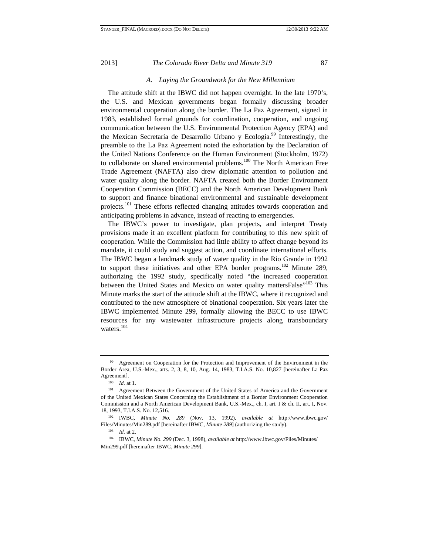#### *A. Laying the Groundwork for the New Millennium*

The attitude shift at the IBWC did not happen overnight. In the late 1970's, the U.S. and Mexican governments began formally discussing broader environmental cooperation along the border. The La Paz Agreement, signed in 1983, established formal grounds for coordination, cooperation, and ongoing communication between the U.S. Environmental Protection Agency (EPA) and the Mexican Secretaría de Desarrollo Urbano y Ecología.<sup>99</sup> Interestingly, the preamble to the La Paz Agreement noted the exhortation by the Declaration of the United Nations Conference on the Human Environment (Stockholm, 1972) to collaborate on shared environmental problems.<sup>100</sup> The North American Free Trade Agreement (NAFTA) also drew diplomatic attention to pollution and water quality along the border. NAFTA created both the Border Environment Cooperation Commission (BECC) and the North American Development Bank to support and finance binational environmental and sustainable development projects.<sup>101</sup> These efforts reflected changing attitudes towards cooperation and anticipating problems in advance, instead of reacting to emergencies.

The IBWC's power to investigate, plan projects, and interpret Treaty provisions made it an excellent platform for contributing to this new spirit of cooperation. While the Commission had little ability to affect change beyond its mandate, it could study and suggest action, and coordinate international efforts. The IBWC began a landmark study of water quality in the Rio Grande in 1992 to support these initiatives and other EPA border programs.<sup>102</sup> Minute 289, authorizing the 1992 study, specifically noted "the increased cooperation between the United States and Mexico on water quality mattersFalse<sup>"103</sup> This Minute marks the start of the attitude shift at the IBWC, where it recognized and contributed to the new atmosphere of binational cooperation. Six years later the IBWC implemented Minute 299, formally allowing the BECC to use IBWC resources for any wastewater infrastructure projects along transboundary waters.<sup>104</sup>

<sup>&</sup>lt;sup>99</sup> Agreement on Cooperation for the Protection and Improvement of the Environment in the Border Area, U.S.-Mex., arts. 2, 3, 8, 10, Aug. 14, 1983, T.I.A.S. No. 10,827 [hereinafter La Paz Agreement].<br> $100$  *Id.* at 1.

<sup>101</sup> Agreement Between the Government of the United States of America and the Government of the United Mexican States Concerning the Establishment of a Border Environment Cooperation Commission and a North American Development Bank, U.S.-Mex., ch. I, art. I & ch. II, art. I, Nov. 18, 1993, T.I.A.S. No. 12,516. 102 IWBC, *Minute No. 289* (Nov. 13, 1992), *available at* http://www.ibwc.gov/

Files/Minutes/Min289.pdf [hereinafter IBWC, *Minute 289*] (authorizing the study).

<sup>103</sup> *Id.* at 2.

<sup>104</sup> IBWC, *Minute No. 299* (Dec. 3, 1998), *available at* http://www.ibwc.gov/Files/Minutes/ Min299.pdf [hereinafter IBWC, *Minute 299*].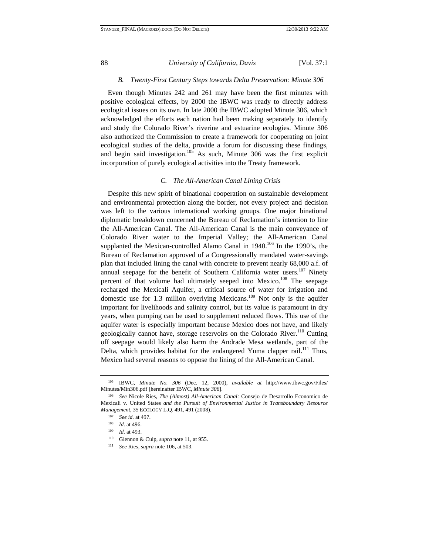# *B. Twenty-First Century Steps towards Delta Preservation: Minute 306*

Even though Minutes 242 and 261 may have been the first minutes with positive ecological effects, by 2000 the IBWC was ready to directly address ecological issues on its own. In late 2000 the IBWC adopted Minute 306, which acknowledged the efforts each nation had been making separately to identify and study the Colorado River's riverine and estuarine ecologies. Minute 306 also authorized the Commission to create a framework for cooperating on joint ecological studies of the delta, provide a forum for discussing these findings, and begin said investigation.<sup>105</sup> As such, Minute 306 was the first explicit incorporation of purely ecological activities into the Treaty framework.

#### *C. The All-American Canal Lining Crisis*

Despite this new spirit of binational cooperation on sustainable development and environmental protection along the border, not every project and decision was left to the various international working groups. One major binational diplomatic breakdown concerned the Bureau of Reclamation's intention to line the All-American Canal. The All-American Canal is the main conveyance of Colorado River water to the Imperial Valley; the All-American Canal supplanted the Mexican-controlled Alamo Canal in 1940.<sup>106</sup> In the 1990's, the Bureau of Reclamation approved of a Congressionally mandated water-savings plan that included lining the canal with concrete to prevent nearly 68,000 a.f. of annual seepage for the benefit of Southern California water users.<sup>107</sup> Ninety percent of that volume had ultimately seeped into Mexico.<sup>108</sup> The seepage recharged the Mexicali Aquifer, a critical source of water for irrigation and domestic use for 1.3 million overlying Mexicans.<sup>109</sup> Not only is the aquifer important for livelihoods and salinity control, but its value is paramount in dry years, when pumping can be used to supplement reduced flows. This use of the aquifer water is especially important because Mexico does not have, and likely geologically cannot have, storage reservoirs on the Colorado River.<sup>110</sup> Cutting off seepage would likely also harm the Andrade Mesa wetlands, part of the Delta, which provides habitat for the endangered Yuma clapper rail.<sup>111</sup> Thus, Mexico had several reasons to oppose the lining of the All-American Canal.

<sup>105</sup> IBWC, *Minute No. 306* (Dec. 12, 2000), *available at* http://www.ibwc.gov/Files/ Minutes/Min306.pdf [hereinafter IBWC, *Minute 306*]. 106 *See* Nicole Ries, *The (Almost) All-American Canal:* Consejo de Desarrollo Economico de

Mexicali v. United States *and the Pursuit of Environmental Justice in Transboundary Resource Management*, 35 ECOLOGY L.Q. 491, 491 (2008).

<sup>107</sup> *See id.* at 497.

<sup>108</sup> *Id.* at 496.

<sup>109</sup> *Id.* at 493.

<sup>110</sup> Glennon & Culp, *supra* note 11, at 955.

<sup>111</sup> *See* Ries, *supra* note 106, at 503.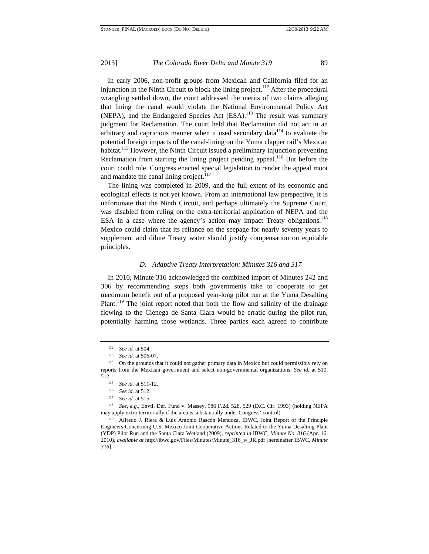In early 2006, non-profit groups from Mexicali and California filed for an injunction in the Ninth Circuit to block the lining project.<sup>112</sup> After the procedural wrangling settled down, the court addressed the merits of two claims alleging that lining the canal would violate the National Environmental Policy Act (NEPA), and the Endangered Species Act (ESA).<sup>113</sup> The result was summary judgment for Reclamation. The court held that Reclamation did not act in an arbitrary and capricious manner when it used secondary data<sup>114</sup> to evaluate the potential foreign impacts of the canal-lining on the Yuma clapper rail's Mexican habitat.<sup>115</sup> However, the Ninth Circuit issued a preliminary injunction preventing Reclamation from starting the lining project pending appeal.<sup>116</sup> But before the court could rule, Congress enacted special legislation to render the appeal moot and mandate the canal lining project.<sup>117</sup>

The lining was completed in 2009, and the full extent of its economic and ecological effects is not yet known. From an international law perspective, it is unfortunate that the Ninth Circuit, and perhaps ultimately the Supreme Court, was disabled from ruling on the extra-territorial application of NEPA and the ESA in a case where the agency's action may impact Treaty obligations.<sup>118</sup> Mexico could claim that its reliance on the seepage for nearly seventy years to supplement and dilute Treaty water should justify compensation on equitable principles.

#### *D. Adaptive Treaty Interpretation: Minutes 316 and 317*

In 2010, Minute 316 acknowledged the combined import of Minutes 242 and 306 by recommending steps both governments take to cooperate to get maximum benefit out of a proposed year-long pilot run at the Yuma Desalting Plant.<sup>119</sup> The joint report noted that both the flow and salinity of the drainage flowing to the Cienega de Santa Clara would be erratic during the pilot run, potentially harming those wetlands. Three parties each agreed to contribute

<sup>&</sup>lt;sup>112</sup> See id. at 504.<br><sup>113</sup> See id. at 506-07.<br><sup>114</sup> On the grounds that it could not gather primary data in Mexico but could permissibly rely on reports from the Mexican government and select non-governmental organizations. *See id*. at 510, 512. 115 *See id.* at 511-12. 116 *See id.* at 512. 117 *See id.* at 515. 118 *See, e.g.*, Envtl. Def. Fund v. Massey, 986 F.2d. 528, 529 (D.C. Cir. 1993) (holding NEPA

may apply extra-territorially if the area is substantially under Congress' control). 119 Alfredo J. Riera & Luis Antonio Rascón Mendoza, IBWC, Joint Report of the Principle Engineers Concerning U.S.-Mexico Joint Cooperative Actions Related to the Yuma Desalting Plant (YDP) Pilot Run and the Santa Clara Wetland (2009), *reprinted in* IBWC, *Minute No. 316* (Apr. 16, 2010), *available at* http://ibwc.gov/Files/Minutes/Minute\_316\_w\_JR.pdf [hereinafter IBWC, *Minute 316*].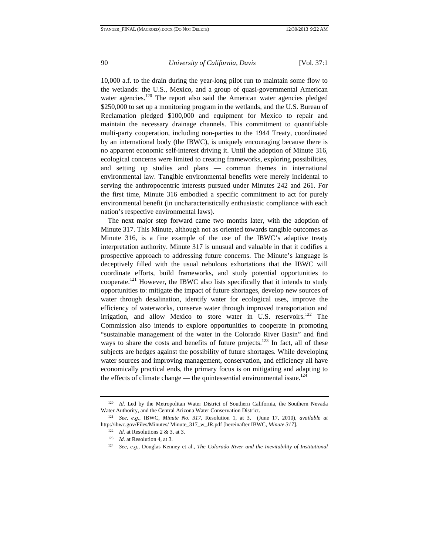10,000 a.f. to the drain during the year-long pilot run to maintain some flow to the wetlands: the U.S., Mexico, and a group of quasi-governmental American water agencies.<sup>120</sup> The report also said the American water agencies pledged \$250,000 to set up a monitoring program in the wetlands, and the U.S. Bureau of Reclamation pledged \$100,000 and equipment for Mexico to repair and maintain the necessary drainage channels. This commitment to quantifiable multi-party cooperation, including non-parties to the 1944 Treaty, coordinated by an international body (the IBWC), is uniquely encouraging because there is no apparent economic self-interest driving it. Until the adoption of Minute 316, ecological concerns were limited to creating frameworks, exploring possibilities, and setting up studies and plans — common themes in international environmental law. Tangible environmental benefits were merely incidental to serving the anthropocentric interests pursued under Minutes 242 and 261. For the first time, Minute 316 embodied a specific commitment to act for purely environmental benefit (in uncharacteristically enthusiastic compliance with each nation's respective environmental laws).

The next major step forward came two months later, with the adoption of Minute 317. This Minute, although not as oriented towards tangible outcomes as Minute 316, is a fine example of the use of the IBWC's adaptive treaty interpretation authority. Minute 317 is unusual and valuable in that it codifies a prospective approach to addressing future concerns. The Minute's language is deceptively filled with the usual nebulous exhortations that the IBWC will coordinate efforts, build frameworks, and study potential opportunities to cooperate.<sup>121</sup> However, the IBWC also lists specifically that it intends to study opportunities to: mitigate the impact of future shortages, develop new sources of water through desalination, identify water for ecological uses, improve the efficiency of waterworks, conserve water through improved transportation and irrigation, and allow Mexico to store water in U.S. reservoirs.<sup>122</sup> The Commission also intends to explore opportunities to cooperate in promoting "sustainable management of the water in the Colorado River Basin" and find ways to share the costs and benefits of future projects.<sup>123</sup> In fact, all of these subjects are hedges against the possibility of future shortages. While developing water sources and improving management, conservation, and efficiency all have economically practical ends, the primary focus is on mitigating and adapting to the effects of climate change — the quintessential environmental issue.<sup>124</sup>

<sup>&</sup>lt;sup>120</sup> *Id.* Led by the Metropolitan Water District of Southern California, the Southern Nevada Water Authority, and the Central Arizona Water Conservation District. 121 *See, e.g.*, IBWC, *Minute No. 317*, Resolution 1, at 3, (June 17, 2010), *available at* 

http://ibwc.gov/Files/Minutes/ Minute\_317\_w\_JR.pdf [hereinafter IBWC, *Minute 317*].

<sup>122</sup> *Id.* at Resolutions 2 & 3, at 3.

<sup>123</sup> *Id.* at Resolution 4, at 3.

<sup>124</sup> *See, e.g.*, Douglas Kenney et al., *The Colorado River and the Inevitability of Institutional*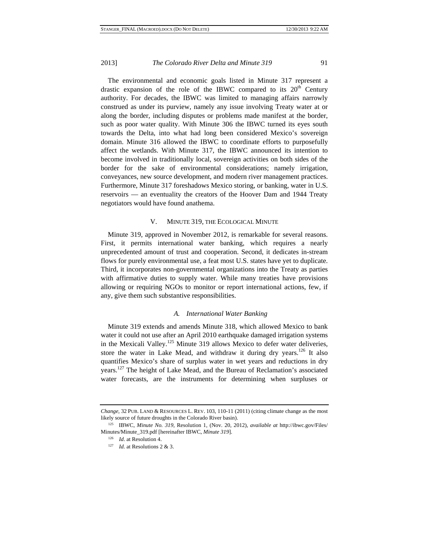The environmental and economic goals listed in Minute 317 represent a drastic expansion of the role of the IBWC compared to its  $20<sup>th</sup>$  Century authority. For decades, the IBWC was limited to managing affairs narrowly construed as under its purview, namely any issue involving Treaty water at or along the border, including disputes or problems made manifest at the border, such as poor water quality. With Minute 306 the IBWC turned its eyes south towards the Delta, into what had long been considered Mexico's sovereign domain. Minute 316 allowed the IBWC to coordinate efforts to purposefully affect the wetlands. With Minute 317, the IBWC announced its intention to become involved in traditionally local, sovereign activities on both sides of the border for the sake of environmental considerations; namely irrigation, conveyances, new source development, and modern river management practices. Furthermore, Minute 317 foreshadows Mexico storing, or banking, water in U.S. reservoirs — an eventuality the creators of the Hoover Dam and 1944 Treaty negotiators would have found anathema.

#### V. MINUTE 319, THE ECOLOGICAL MINUTE

Minute 319, approved in November 2012, is remarkable for several reasons. First, it permits international water banking, which requires a nearly unprecedented amount of trust and cooperation. Second, it dedicates in-stream flows for purely environmental use, a feat most U.S. states have yet to duplicate. Third, it incorporates non-governmental organizations into the Treaty as parties with affirmative duties to supply water. While many treaties have provisions allowing or requiring NGOs to monitor or report international actions, few, if any, give them such substantive responsibilities.

#### *A. International Water Banking*

Minute 319 extends and amends Minute 318, which allowed Mexico to bank water it could not use after an April 2010 earthquake damaged irrigation systems in the Mexicali Valley.<sup>125</sup> Minute 319 allows Mexico to defer water deliveries, store the water in Lake Mead, and withdraw it during dry years.<sup>126</sup> It also quantifies Mexico's share of surplus water in wet years and reductions in dry years.127 The height of Lake Mead, and the Bureau of Reclamation's associated water forecasts, are the instruments for determining when surpluses or

*Change*, 32 PUB. LAND & RESOURCES L. REV. 103, 110-11 (2011) (citing climate change as the most likely source of future droughts in the Colorado River basin). 125 IBWC, *Minute No. 319*, Resolution 1, (Nov. 20, 2012), *available at* http://ibwc.gov/Files/

Minutes/Minute\_319.pdf [hereinafter IBWC, *Minute 319*].

<sup>126</sup> *Id*. at Resolution 4.

<sup>127</sup> *Id.* at Resolutions 2 & 3.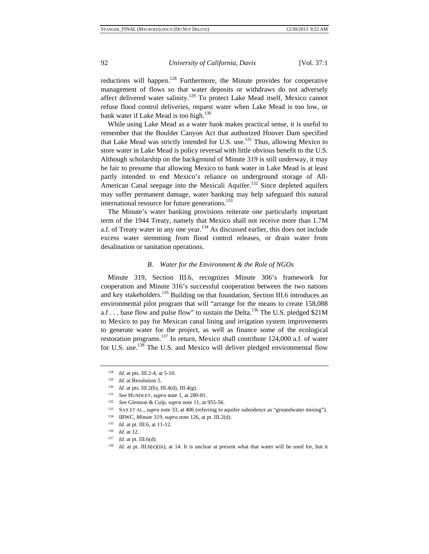reductions will happen.<sup>128</sup> Furthermore, the Minute provides for cooperative management of flows so that water deposits or withdraws do not adversely affect delivered water salinity.<sup>129</sup> To protect Lake Mead itself, Mexico cannot refuse flood control deliveries, request water when Lake Mead is too low, or bank water if Lake Mead is too high.<sup>130</sup>

While using Lake Mead as a water bank makes practical sense, it is useful to remember that the Boulder Canyon Act that authorized Hoover Dam specified that Lake Mead was strictly intended for U.S. use.<sup>131</sup> Thus, allowing Mexico to store water in Lake Mead is policy reversal with little obvious benefit to the U.S. Although scholarship on the background of Minute 319 is still underway, it may be fair to presume that allowing Mexico to bank water in Lake Mead is at least partly intended to end Mexico's reliance on underground storage of All-American Canal seepage into the Mexicali Aquifer.<sup>132</sup> Since depleted aquifers may suffer permanent damage, water banking may help safeguard this natural international resource for future generations.<sup>133</sup>

The Minute's water banking provisions reiterate one particularly important term of the 1944 Treaty, namely that Mexico shall not receive more than 1.7M a.f. of Treaty water in any one year.<sup>134</sup> As discussed earlier, this does not include excess water stemming from flood control releases, or drain water from desalination or sanitation operations.

#### *B. Water for the Environment & the Role of NGOs*

Minute 319, Section III.6, recognizes Minute 306's framework for cooperation and Minute 316's successful cooperation between the two nations and key stakeholders.<sup>135</sup> Building on that foundation, Section III.6 introduces an environmental pilot program that will "arrange for the means to create 158,088 a.f . . . base flow and pulse flow" to sustain the Delta.<sup>136</sup> The U.S. pledged \$21M to Mexico to pay for Mexican canal lining and irrigation system improvements to generate water for the project, as well as finance some of the ecological restoration programs.<sup>137</sup> In return, Mexico shall contribute 124,000 a.f. of water for U.S. use.138 The U.S. and Mexico will deliver pledged environmental flow

<sup>128</sup> *Id*. at pts. III.2-4, at 5-10.

<sup>129</sup> *Id.* at Resolution 5.

<sup>&</sup>lt;sup>130</sup> *Id.* at pts. III.2(b), III.4(d), III.4(g).

<sup>131</sup> *See* HUNDLEY, *supra* note 1, at 280-81.

<sup>132</sup> *See* Glennon & Culp, *supra* note 11, at 955-56.

<sup>133</sup> SAX ET AL., *supra* note 33, at 406 (referring to aquifer subsidence as "groundwater mining").

<sup>134</sup> IBWC, *Minute 319*, *supra* note 126, at pt. III.2(d).

<sup>135</sup> *Id.* at pt. III.6, at 11-12.

<sup>136</sup> *Id.* at 12.

<sup>137</sup> *Id.* at pt. III.6(d).

<sup>&</sup>lt;sup>138</sup> *Id.* at pt. III.6(e)(iii), at 14. It is unclear at present what that water will be used for, but it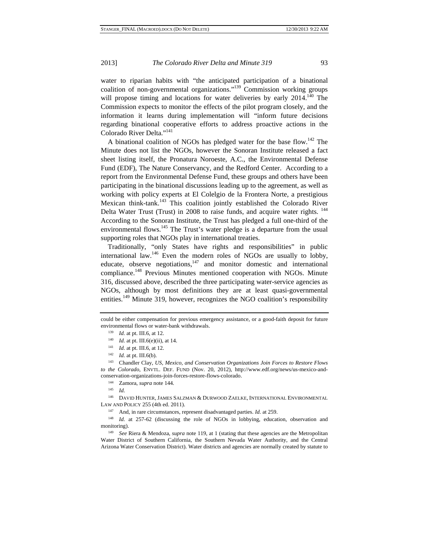water to riparian habits with "the anticipated participation of a binational coalition of non-governmental organizations."139 Commission working groups will propose timing and locations for water deliveries by early 2014.<sup>140</sup> The Commission expects to monitor the effects of the pilot program closely, and the information it learns during implementation will "inform future decisions regarding binational cooperative efforts to address proactive actions in the Colorado River Delta."<sup>141</sup>

A binational coalition of NGOs has pledged water for the base flow.<sup>142</sup> The Minute does not list the NGOs, however the Sonoran Institute released a fact sheet listing itself, the Pronatura Noroeste, A.C., the Environmental Defense Fund (EDF), The Nature Conservancy, and the Redford Center. According to a report from the Environmental Defense Fund, these groups and others have been participating in the binational discussions leading up to the agreement, as well as working with policy experts at El Colelgio de la Frontera Norte, a prestigious Mexican think-tank.<sup>143</sup> This coalition jointly established the Colorado River Delta Water Trust (Trust) in 2008 to raise funds, and acquire water rights. <sup>144</sup> According to the Sonoran Institute, the Trust has pledged a full one-third of the environmental flows.<sup>145</sup> The Trust's water pledge is a departure from the usual supporting roles that NGOs play in international treaties.

Traditionally, "only States have rights and responsibilities" in public international law.<sup>146</sup> Even the modern roles of NGOs are usually to lobby, educate, observe negotiations, $147$  and monitor domestic and international compliance.<sup>148</sup> Previous Minutes mentioned cooperation with NGOs. Minute 316, discussed above, described the three participating water-service agencies as NGOs, although by most definitions they are at least quasi-governmental entities.<sup>149</sup> Minute 319, however, recognizes the NGO coalition's responsibility

could be either compensation for previous emergency assistance, or a good-faith deposit for future environmental flows or water-bank withdrawals.

<sup>139</sup> *Id.* at pt. III.6, at 12.

<sup>&</sup>lt;sup>140</sup> *Id.* at pt. III.6(e)(ii), at 14.

<sup>141</sup> *Id.* at pt. III.6, at 12.

<sup>142</sup> *Id.* at pt. III.6(b).

<sup>143</sup> Chandler Clay, *US, Mexico, and Conservation Organizations Join Forces to Restore Flows to the Colorado*, ENVTL. DEF. FUND (Nov. 20, 2012), http://www.edf.org/news/us-mexico-andconservation-organizations-join-forces-restore-flows-colorado. 144 Zamora, *supra* note 144*.*

<sup>145</sup> *Id.*

<sup>146</sup> DAVID HUNTER, JAMES SALZMAN & DURWOOD ZAELKE, INTERNATIONAL ENVIRONMENTAL LAW AND POLICY 255 (4th ed. 2011).

<sup>147</sup> And, in rare circumstances, represent disadvantaged parties. *Id.* at 259.

<sup>&</sup>lt;sup>148</sup> *Id.* at 257-62 (discussing the role of NGOs in lobbying, education, observation and

monitoring). 149 *See* Riera & Mendoza, *supra* note 119, at 1 (stating that these agencies are the Metropolitan Water District of Southern California, the Southern Nevada Water Authority, and the Central Arizona Water Conservation District). Water districts and agencies are normally created by statute to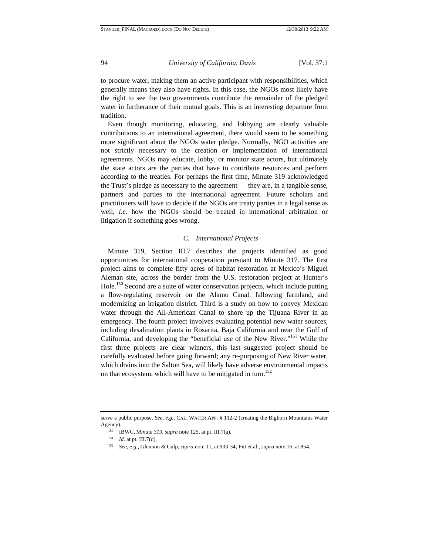to procure water, making them an active participant with responsibilities, which generally means they also have rights. In this case, the NGOs most likely have the right to see the two governments contribute the remainder of the pledged water in furtherance of their mutual goals. This is an interesting departure from tradition.

Even though monitoring, educating, and lobbying are clearly valuable contributions to an international agreement, there would seem to be something more significant about the NGOs water pledge. Normally, NGO activities are not strictly necessary to the creation or implementation of international agreements. NGOs may educate, lobby, or monitor state actors, but ultimately the state actors are the parties that have to contribute resources and perform according to the treaties. For perhaps the first time, Minute 319 acknowledged the Trust's pledge as necessary to the agreement — they are, in a tangible sense, partners and parties to the international agreement. Future scholars and practitioners will have to decide if the NGOs are treaty parties in a legal sense as well, *i.e.* how the NGOs should be treated in international arbitration or litigation if something goes wrong.

#### *C. International Projects*

Minute 319, Section III.7 describes the projects identified as good opportunities for international cooperation pursuant to Minute 317. The first project aims to complete fifty acres of habitat restoration at Mexico's Miguel Aleman site, across the border from the U.S. restoration project at Hunter's Hole.<sup>150</sup> Second are a suite of water conservation projects, which include putting a flow-regulating reservoir on the Alamo Canal, fallowing farmland, and modernizing an irrigation district. Third is a study on how to convey Mexican water through the All-American Canal to shore up the Tijuana River in an emergency. The fourth project involves evaluating potential new water sources, including desalination plants in Rosarita, Baja California and near the Gulf of California, and developing the "beneficial use of the New River."151 While the first three projects are clear winners, this last suggested project should be carefully evaluated before going forward; any re-purposing of New River water, which drains into the Salton Sea, will likely have adverse environmental impacts on that ecosystem, which will have to be mitigated in turn.<sup>152</sup>

serve a public purpose. *See, e.g.*, CAL. WATER APP. § 112-2 (creating the Bighorn Mountains Water Agency).

<sup>150</sup> IBWC, *Minute 319, supra* note 125, at pt. III.7(a).

<sup>151</sup> *Id.* at pt. III.7(d).

<sup>152</sup> *See, e.g.*, Glennon & Culp, *supra* note 11, at 933-34; Pitt et al., *supra* note 16, at 854.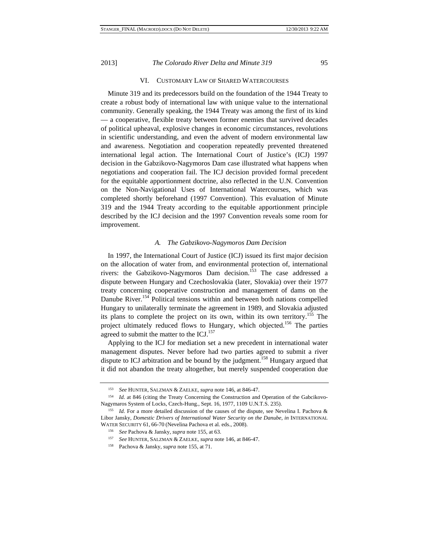#### VI. CUSTOMARY LAW OF SHARED WATERCOURSES

Minute 319 and its predecessors build on the foundation of the 1944 Treaty to create a robust body of international law with unique value to the international community. Generally speaking, the 1944 Treaty was among the first of its kind — a cooperative, flexible treaty between former enemies that survived decades of political upheaval, explosive changes in economic circumstances, revolutions in scientific understanding, and even the advent of modern environmental law and awareness. Negotiation and cooperation repeatedly prevented threatened international legal action. The International Court of Justice's (ICJ) 1997 decision in the Gabzikovo-Nagymoros Dam case illustrated what happens when negotiations and cooperation fail. The ICJ decision provided formal precedent for the equitable apportionment doctrine, also reflected in the U.N. Convention on the Non-Navigational Uses of International Watercourses, which was completed shortly beforehand (1997 Convention). This evaluation of Minute 319 and the 1944 Treaty according to the equitable apportionment principle described by the ICJ decision and the 1997 Convention reveals some room for improvement.

#### *A. The Gabzikovo-Nagymoros Dam Decision*

In 1997, the International Court of Justice (ICJ) issued its first major decision on the allocation of water from, and environmental protection of, international rivers: the Gabzikovo-Nagymoros Dam decision.<sup>153</sup> The case addressed a dispute between Hungary and Czechoslovakia (later, Slovakia) over their 1977 treaty concerning cooperative construction and management of dams on the Danube River.<sup>154</sup> Political tensions within and between both nations compelled Hungary to unilaterally terminate the agreement in 1989, and Slovakia adjusted its plans to complete the project on its own, within its own territory.<sup>155</sup> The project ultimately reduced flows to Hungary, which objected.<sup>156</sup> The parties agreed to submit the matter to the ICJ.<sup>157</sup>

Applying to the ICJ for mediation set a new precedent in international water management disputes. Never before had two parties agreed to submit a river dispute to ICJ arbitration and be bound by the judgment.<sup>158</sup> Hungary argued that it did not abandon the treaty altogether, but merely suspended cooperation due

<sup>153</sup> *See* HUNTER, SALZMAN & ZAELKE, *supra* note 146, at 846-47.

<sup>154</sup> *Id.* at 846 (citing the Treaty Concerning the Construction and Operation of the Gabcikovo-Nagymaros System of Locks, Czech-Hung., Sept. 16, 1977, 1109 U.N.T.S. 235). 155 *Id.* For a more detailed discussion of the causes of the dispute, see Nevelina I. Pachova &

Libor Jansky, *Domestic Drivers of International Water Security on the Danube*, *in* INTERNATIONAL WATER SECURITY 61, 66-70 (Nevelina Pachova et al*.* eds., 2008).

<sup>156</sup> *See* Pachova & Jansky, *supra* note 155, at 63.

<sup>157</sup> *See* HUNTER, SALZMAN & ZAELKE, *supra* note 146, at 846-47.

<sup>158</sup> Pachova & Jansky, *supra* note 155, at 71.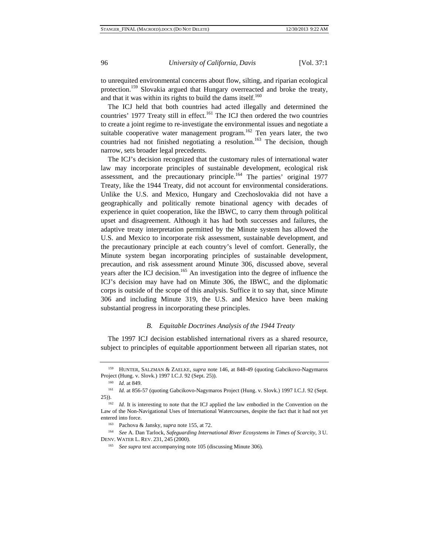to unrequited environmental concerns about flow, silting, and riparian ecological protection.<sup>159</sup> Slovakia argued that Hungary overreacted and broke the treaty, and that it was within its rights to build the dams itself.<sup>160</sup>

The ICJ held that both countries had acted illegally and determined the countries' 1977 Treaty still in effect.<sup>161</sup> The ICJ then ordered the two countries to create a joint regime to re-investigate the environmental issues and negotiate a suitable cooperative water management program.<sup>162</sup> Ten years later, the two countries had not finished negotiating a resolution.<sup>163</sup> The decision, though narrow, sets broader legal precedents.

The ICJ's decision recognized that the customary rules of international water law may incorporate principles of sustainable development, ecological risk assessment, and the precautionary principle.<sup>164</sup> The parties' original 1977 Treaty, like the 1944 Treaty, did not account for environmental considerations. Unlike the U.S. and Mexico, Hungary and Czechoslovakia did not have a geographically and politically remote binational agency with decades of experience in quiet cooperation, like the IBWC, to carry them through political upset and disagreement. Although it has had both successes and failures, the adaptive treaty interpretation permitted by the Minute system has allowed the U.S. and Mexico to incorporate risk assessment, sustainable development, and the precautionary principle at each country's level of comfort. Generally, the Minute system began incorporating principles of sustainable development, precaution, and risk assessment around Minute 306, discussed above, several years after the ICJ decision.<sup>165</sup> An investigation into the degree of influence the ICJ's decision may have had on Minute 306, the IBWC, and the diplomatic corps is outside of the scope of this analysis. Suffice it to say that, since Minute 306 and including Minute 319, the U.S. and Mexico have been making substantial progress in incorporating these principles.

#### *B. Equitable Doctrines Analysis of the 1944 Treaty*

The 1997 ICJ decision established international rivers as a shared resource, subject to principles of equitable apportionment between all riparian states, not

<sup>159</sup> HUNTER, SALZMAN & ZAELKE, *supra* note 146, at 848-49 (quoting Gabcikovo-Nagymaros Project (Hung. v. Slovk.) 1997 I.C.J. 92 (Sept. 25)). 160 *Id.* at 849.

<sup>161</sup> *Id.* at 856-57 (quoting Gabcikovo-Nagymaros Project (Hung. v. Slovk.) 1997 I.C.J. 92 (Sept. 25)).

<sup>&</sup>lt;sup>162</sup> *Id.* It is interesting to note that the ICJ applied the law embodied in the Convention on the Law of the Non-Navigational Uses of International Watercourses, despite the fact that it had not yet entered into force. 163 Pachova & Jansky, *supra* note 155, at 72.

<sup>164</sup> *See* A. Dan Tarlock, *Safeguarding International River Ecosystems in Times of Scarcity*, 3 U. DENV. WATER L. REV. 231, 245 (2000).

<sup>165</sup> *See supra* text accompanying note 105 (discussing Minute 306).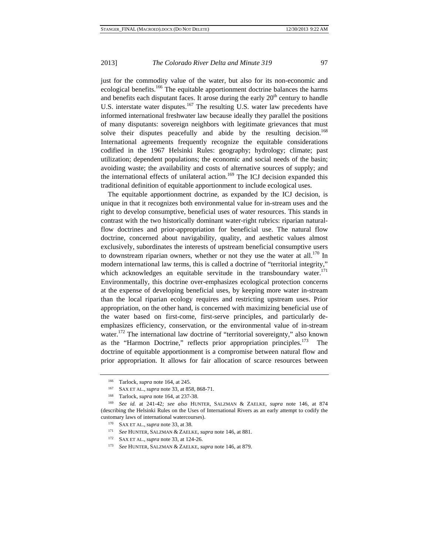just for the commodity value of the water, but also for its non-economic and ecological benefits.<sup>166</sup> The equitable apportionment doctrine balances the harms and benefits each disputant faces. It arose during the early  $20<sup>th</sup>$  century to handle U.S. interstate water disputes.<sup>167</sup> The resulting U.S. water law precedents have informed international freshwater law because ideally they parallel the positions of many disputants: sovereign neighbors with legitimate grievances that must solve their disputes peacefully and abide by the resulting decision.<sup>168</sup> International agreements frequently recognize the equitable considerations codified in the 1967 Helsinki Rules: geography; hydrology; climate; past utilization; dependent populations; the economic and social needs of the basin; avoiding waste; the availability and costs of alternative sources of supply; and the international effects of unilateral action.<sup>169</sup> The ICJ decision expanded this traditional definition of equitable apportionment to include ecological uses.

The equitable apportionment doctrine, as expanded by the ICJ decision, is unique in that it recognizes both environmental value for in-stream uses and the right to develop consumptive, beneficial uses of water resources. This stands in contrast with the two historically dominant water-right rubrics: riparian naturalflow doctrines and prior-appropriation for beneficial use. The natural flow doctrine, concerned about navigability, quality, and aesthetic values almost exclusively, subordinates the interests of upstream beneficial consumptive users to downstream riparian owners, whether or not they use the water at all.<sup>170</sup> In modern international law terms, this is called a doctrine of "territorial integrity," which acknowledges an equitable servitude in the transboundary water.<sup>171</sup> Environmentally, this doctrine over-emphasizes ecological protection concerns at the expense of developing beneficial uses, by keeping more water in-stream than the local riparian ecology requires and restricting upstream uses. Prior appropriation, on the other hand, is concerned with maximizing beneficial use of the water based on first-come, first-serve principles, and particularly deemphasizes efficiency, conservation, or the environmental value of in-stream water.<sup>172</sup> The international law doctrine of "territorial sovereignty," also known as the "Harmon Doctrine," reflects prior appropriation principles.<sup>173</sup> The doctrine of equitable apportionment is a compromise between natural flow and prior appropriation. It allows for fair allocation of scarce resources between

<sup>&</sup>lt;sup>166</sup> Tarlock, *supra* note 164, at 245.<br><sup>167</sup> SAX ET AL., *supra* note 33, at 858, 868-71.<br><sup>168</sup> Tarlock, *supra* note 164, at 237-38.<br><sup>169</sup> See id. at 241-42; *see also* HUNTER, SALZMAN & ZAELKE, *supra* note 146, at 87 (describing the Helsinki Rules on the Uses of International Rivers as an early attempt to codify the customary laws of international watercourses).

<sup>170</sup> SAX ET AL., *supra* note 33, at 38.

<sup>171</sup> *See* HUNTER, SALZMAN & ZAELKE, *supra* note 146, at 881.

<sup>172</sup> SAX ET AL., *supra* note 33, at 124-26.

<sup>173</sup> *See* HUNTER, SALZMAN & ZAELKE, *supra* note 146, at 879.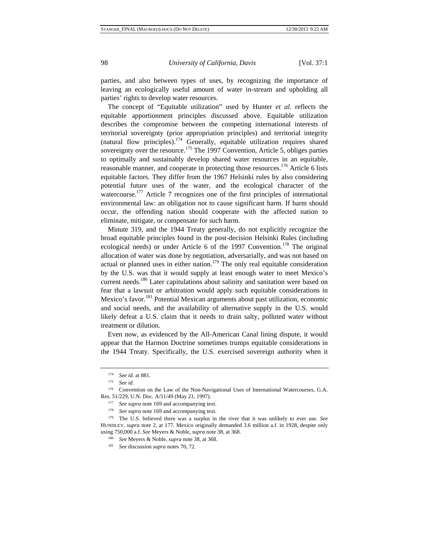parties, and also between types of uses, by recognizing the importance of leaving an ecologically useful amount of water in-stream and upholding all parties' rights to develop water resources.

The concept of "Equitable utilization" used by Hunter *et al.* reflects the equitable apportionment principles discussed above. Equitable utilization describes the compromise between the competing international interests of territorial sovereignty (prior appropriation principles) and territorial integrity (natural flow principles).<sup>174</sup> Generally, equitable utilization requires shared sovereignty over the resource.<sup>175</sup> The 1997 Convention, Article 5, obliges parties to optimally and sustainably develop shared water resources in an equitable, reasonable manner, and cooperate in protecting those resources.<sup>176</sup> Article 6 lists equitable factors. They differ from the 1967 Helsinki rules by also considering potential future uses of the water, and the ecological character of the watercourse.<sup>177</sup> Article 7 recognizes one of the first principles of international environmental law: an obligation not to cause significant harm. If harm should occur, the offending nation should cooperate with the affected nation to eliminate, mitigate, or compensate for such harm.

Minute 319, and the 1944 Treaty generally, do not explicitly recognize the broad equitable principles found in the post-decision Helsinki Rules (including ecological needs) or under Article 6 of the 1997 Convention.<sup>178</sup> The original allocation of water was done by negotiation, adversarially, and was not based on actual or planned uses in either nation.<sup>179</sup> The only real equitable consideration by the U.S. was that it would supply at least enough water to meet Mexico's current needs.<sup>180</sup> Later capitulations about salinity and sanitation were based on fear that a lawsuit or arbitration would apply such equitable considerations in Mexico's favor.181 Potential Mexican arguments about past utilization, economic and social needs, and the availability of alternative supply in the U.S. would likely defeat a U.S. claim that it needs to drain salty, polluted water without treatment or dilution.

Even now, as evidenced by the All-American Canal lining dispute, it would appear that the Harmon Doctrine sometimes trumps equitable considerations in the 1944 Treaty. Specifically, the U.S. exercised sovereign authority when it

<sup>174</sup> *See id.* at 881.

<sup>175</sup> *See id.*

<sup>176</sup> Convention on the Law of the Non-Navigational Uses of International Watercourses, G.A.

Res. 51/229, U.N. Doc. A/51/49 (May 21, 1997).<br><sup>177</sup> *See supra* note 169 and accompanying text.<br><sup>178</sup> *See supra* note 169 and accompanying text.<br><sup>178</sup> The U.S. believed there was a surplus in the river that it was unlik HUNDLEY, *supra* note 2, at 177. Mexico originally demanded 3.6 million a.f. in 1928, despite only using 750,000 a.f. *See* Meyers & Noble, *supra* note 38, at 368.

<sup>180</sup> *See* Meyers & Noble, *supra* note 38, at 368.

<sup>181</sup> *See* discussion *supra* notes 70, 72.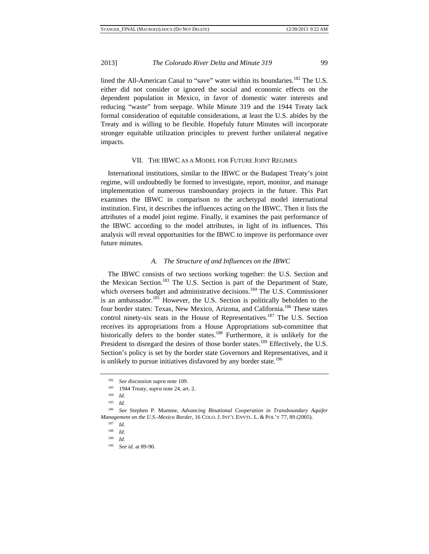lined the All-American Canal to "save" water within its boundaries.<sup>182</sup> The U.S. either did not consider or ignored the social and economic effects on the dependent population in Mexico, in favor of domestic water interests and reducing "waste" from seepage. While Minute 319 and the 1944 Treaty lack formal consideration of equitable considerations, at least the U.S. abides by the Treaty and is willing to be flexible. Hopefuly future Minutes will incorporate stronger equitable utilization principles to prevent further unilateral negative impacts.

#### VII. THE IBWC AS A MODEL FOR FUTURE JOINT REGIMES

International institutions, similar to the IBWC or the Budapest Treaty's joint regime, will undoubtedly be formed to investigate, report, monitor, and manage implementation of numerous transboundary projects in the future. This Part examines the IBWC in comparison to the archetypal model international institution. First, it describes the influences acting on the IBWC. Then it lists the attributes of a model joint regime. Finally, it examines the past performance of the IBWC according to the model attributes, in light of its influences. This analysis will reveal opportunities for the IBWC to improve its performance over future minutes.

#### *A. The Structure of and Influences on the IBWC*

The IBWC consists of two sections working together: the U.S. Section and the Mexican Section.<sup>183</sup> The U.S. Section is part of the Department of State, which oversees budget and administrative decisions.<sup>184</sup> The U.S. Commissioner is an ambassador.<sup>185</sup> However, the U.S. Section is politically beholden to the four border states: Texas, New Mexico, Arizona, and California.<sup>186</sup> These states control ninety-six seats in the House of Representatives.<sup>187</sup> The U.S. Section receives its appropriations from a House Appropriations sub-committee that historically defers to the border states.<sup>188</sup> Furthermore, it is unlikely for the President to disregard the desires of those border states.<sup>189</sup> Effectively, the U.S. Section's policy is set by the border state Governors and Representatives, and it is unlikely to pursue initiatives disfavored by any border state.<sup>190</sup>

<sup>182</sup> *See* discussion *supra* note 109.

<sup>183 1944</sup> Treaty, *supra* note 24, art. 2.

<sup>184</sup> *Id.*

<sup>185</sup> *Id.*

<sup>186</sup> *See* Stephen P. Mumme, *Advancing Binational Cooperation in Transboundary Aquifer Management on the U.S.-Mexico Border*, 16 COLO. J. INT'L ENVTL. L. & POL'Y 77, 89 (2005).

<sup>187</sup> *Id.*

<sup>188</sup> *Id.*

<sup>189</sup> *Id.*

<sup>190</sup> *See id.* at 89-90.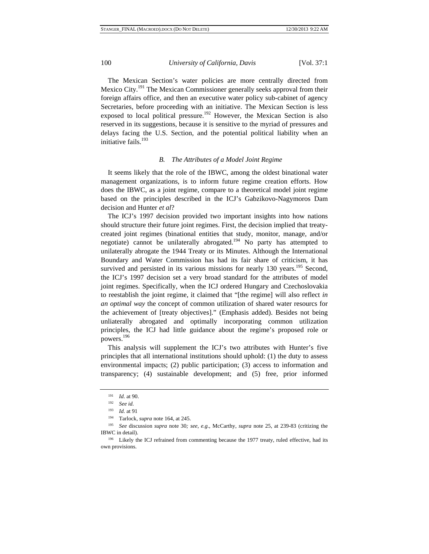The Mexican Section's water policies are more centrally directed from Mexico City.<sup>191</sup> The Mexican Commissioner generally seeks approval from their foreign affairs office, and then an executive water policy sub-cabinet of agency Secretaries, before proceeding with an initiative. The Mexican Section is less exposed to local political pressure.<sup>192</sup> However, the Mexican Section is also reserved in its suggestions, because it is sensitive to the myriad of pressures and delays facing the U.S. Section, and the potential political liability when an initiative fails.<sup>193</sup>

#### *B. The Attributes of a Model Joint Regime*

It seems likely that the role of the IBWC, among the oldest binational water management organizations, is to inform future regime creation efforts. How does the IBWC, as a joint regime, compare to a theoretical model joint regime based on the principles described in the ICJ's Gabzikovo-Nagymoros Dam decision and Hunter *et al*?

The ICJ's 1997 decision provided two important insights into how nations should structure their future joint regimes. First, the decision implied that treatycreated joint regimes (binational entities that study, monitor, manage, and/or negotiate) cannot be unilaterally abrogated.<sup>194</sup> No party has attempted to unilaterally abrogate the 1944 Treaty or its Minutes. Although the International Boundary and Water Commission has had its fair share of criticism, it has survived and persisted in its various missions for nearly  $130$  years.<sup>195</sup> Second, the ICJ's 1997 decision set a very broad standard for the attributes of model joint regimes. Specifically, when the ICJ ordered Hungary and Czechoslovakia to reestablish the joint regime, it claimed that "[the regime] will also reflect *in an optimal way* the concept of common utilization of shared water resourcs for the achievement of [treaty objectives]." (Emphasis added). Besides not being unliaterally abrogated and optimally incorporating common utilization principles, the ICJ had little guidance about the regime's proposed role or powers.196

This analysis will supplement the ICJ's two attributes with Hunter's five principles that all international institutions should uphold: (1) the duty to assess environmental impacts; (2) public participation; (3) access to information and transparency; (4) sustainable development; and (5) free, prior informed

<sup>191</sup>*Id.* at 90. 192 *See id.*

<sup>193</sup>*Id.* at 91 194 Tarlock, *supra* note 164, at 245. 195 *See* discussion *supra* note 30*; see, e.g.*, McCarthy, *supra* note 25, at 239-83 (critizing the IBWC in detail). 196 Likely the ICJ refrained from commenting because the 1977 treaty, ruled effective, had its

own provisions.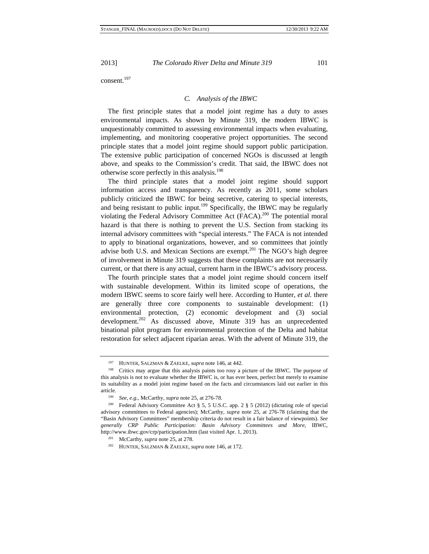consent.<sup>197</sup>

#### *C. Analysis of the IBWC*

The first principle states that a model joint regime has a duty to asses environmental impacts. As shown by Minute 319, the modern IBWC is unquestionably committed to assessing environmental impacts when evaluating, implementing, and monitoring cooperative project opportunities. The second principle states that a model joint regime should support public participation. The extensive public participation of concerned NGOs is discussed at length above, and speaks to the Commission's credit. That said, the IBWC does not otherwise score perfectly in this analysis.<sup>198</sup>

The third principle states that a model joint regime should support information access and transparency. As recently as 2011, some scholars publicly criticized the IBWC for being secretive, catering to special interests, and being resistant to public input.<sup>199</sup> Specifically, the IBWC may be regularly violating the Federal Advisory Committee Act (FACA).<sup>200</sup> The potential moral hazard is that there is nothing to prevent the U.S. Section from stacking its internal advisory committees with "special interests." The FACA is not intended to apply to binational organizations, however, and so committees that jointly advise both U.S. and Mexican Sections are exempt.<sup>201</sup> The NGO's high degree of involvement in Minute 319 suggests that these complaints are not necessarily current, or that there is any actual, current harm in the IBWC's advisory process.

The fourth principle states that a model joint regime should concern itself with sustainable development. Within its limited scope of operations, the modern IBWC seems to score fairly well here. According to Hunter, *et al.* there are generally three core components to sustainable development: (1) environmental protection, (2) economic development and (3) social development.<sup>202</sup> As discussed above, Minute 319 has an unprecedented binational pilot program for environmental protection of the Delta and habitat restoration for select adjacent riparian areas. With the advent of Minute 319, the

<sup>&</sup>lt;sup>197</sup> HUNTER, SALZMAN & ZAELKE, *supra* note 146, at 442.<br><sup>198</sup> Critics may argue that this analysis paints too rosy a picture of the IBWC. The purpose of this analysis is not to evaluate whether the IBWC is, or has ever been, perfect but merely to examine its suitability as a model joint regime based on the facts and circumstances laid out earlier in this article. 199 *See, e.g.*, McCarthy, *supra* note 25, at 276-78.

<sup>200</sup> Federal Advisory Committee Act § 5, 5 U.S.C. app. 2 § 5 (2012) (dictating role of special advisory committees to Federal agencies); McCarthy, *supra* note 25, at 276-78 (claiming that the "Basin Advisory Committees" membership criteria do not result in a fair balance of viewpoints). *See generally CRP Public Participation: Basin Advisory Committees and More*, IBWC, http://www.ibwc.gov/crp/participation.htm (last visited Apr. 1, 2013).

<sup>201</sup> McCarthy, *supra* note 25, at 278.

<sup>202</sup> HUNTER, SALZMAN & ZAELKE, *supra* note 146, at 172.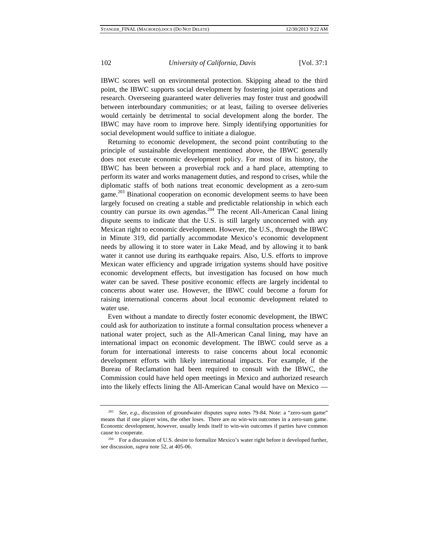IBWC scores well on environmental protection. Skipping ahead to the third point, the IBWC supports social development by fostering joint operations and research. Overseeing guaranteed water deliveries may foster trust and goodwill between interboundary communities; or at least, failing to oversee deliveries would certainly be detrimental to social development along the border. The IBWC may have room to improve here. Simply identifying opportunities for social development would suffice to initiate a dialogue.

Returning to economic development, the second point contributing to the principle of sustainable development mentioned above, the IBWC generally does not execute economic development policy. For most of its history, the IBWC has been between a proverbial rock and a hard place, attempting to perform its water and works management duties, and respond to crises, while the diplomatic staffs of both nations treat economic development as a zero-sum game.<sup>203</sup> Binational cooperation on economic development seems to have been largely focused on creating a stable and predictable relationship in which each country can pursue its own agendas.<sup>204</sup> The recent All-American Canal lining dispute seems to indicate that the U.S. is still largely unconcerned with any Mexican right to economic development. However, the U.S., through the IBWC in Minute 319, did partially accommodate Mexico's economic development needs by allowing it to store water in Lake Mead, and by allowing it to bank water it cannot use during its earthquake repairs. Also, U.S. efforts to improve Mexican water efficiency and upgrade irrigation systems should have positive economic development effects, but investigation has focused on how much water can be saved. These positive economic effects are largely incidental to concerns about water use. However, the IBWC could become a forum for raising international concerns about local economic development related to water use.

Even without a mandate to directly foster economic development, the IBWC could ask for authorization to institute a formal consultation process whenever a national water project, such as the All-American Canal lining, may have an international impact on economic development. The IBWC could serve as a forum for international interests to raise concerns about local economic development efforts with likely international impacts. For example, if the Bureau of Reclamation had been required to consult with the IBWC, the Commission could have held open meetings in Mexico and authorized research into the likely effects lining the All-American Canal would have on Mexico —

<sup>203</sup> *See, e.g.*, discussion of groundwater disputes *supra* notes 79-84. Note: a "zero-sum game" means that if one player wins, the other loses. There are no win-win outcomes in a zero-sum game. Economic development, however, usually lends itself to win-win outcomes if parties have common cause to cooperate. 204 For a discussion of U.S. desire to formalize Mexico's water right before it developed further,

see discussion, *supra* note 52, at 405-06.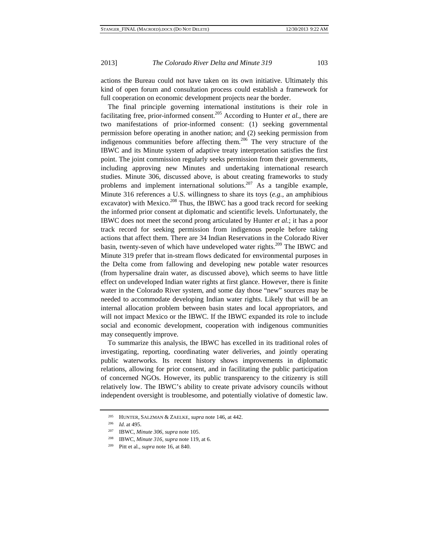actions the Bureau could not have taken on its own initiative. Ultimately this kind of open forum and consultation process could establish a framework for full cooperation on economic development projects near the border.

The final principle governing international institutions is their role in facilitating free, prior-informed consent.<sup>205</sup> According to Hunter *et al.*, there are two manifestations of prior-informed consent: (1) seeking governmental permission before operating in another nation; and (2) seeking permission from indigenous communities before affecting them.<sup>206</sup> The very structure of the IBWC and its Minute system of adaptive treaty interpretation satisfies the first point. The joint commission regularly seeks permission from their governments, including approving new Minutes and undertaking international research studies. Minute 306, discussed above, is about creating frameworks to study problems and implement international solutions.  $207$  As a tangible example, Minute 316 references a U.S. willingness to share its toys (*e.g.*, an amphibious excavator) with Mexico.<sup>208</sup> Thus, the IBWC has a good track record for seeking the informed prior consent at diplomatic and scientific levels. Unfortunately, the IBWC does not meet the second prong articulated by Hunter *et al*.; it has a poor track record for seeking permission from indigenous people before taking actions that affect them. There are 34 Indian Reservations in the Colorado River basin, twenty-seven of which have undeveloped water rights.<sup>209</sup> The IBWC and Minute 319 prefer that in-stream flows dedicated for environmental purposes in the Delta come from fallowing and developing new potable water resources (from hypersaline drain water, as discussed above), which seems to have little effect on undeveloped Indian water rights at first glance. However, there is finite water in the Colorado River system, and some day those "new" sources may be needed to accommodate developing Indian water rights. Likely that will be an internal allocation problem between basin states and local appropriators, and will not impact Mexico or the IBWC. If the IBWC expanded its role to include social and economic development, cooperation with indigenous communities may consequently improve.

To summarize this analysis, the IBWC has excelled in its traditional roles of investigating, reporting, coordinating water deliveries, and jointly operating public waterworks. Its recent history shows improvements in diplomatic relations, allowing for prior consent, and in facilitating the public participation of concerned NGOs. However, its public transparency to the citizenry is still relatively low. The IBWC's ability to create private advisory councils without independent oversight is troublesome, and potentially violative of domestic law.

<sup>205</sup> HUNTER, SALZMAN & ZAELKE, *supra* note 146, at 442.

<sup>206</sup> *Id.* at 495.

<sup>207</sup> IBWC, *Minute 306*, *supra* note 105.

<sup>208</sup> IBWC, *Minute 316*, *supra* note 119, at 6.

<sup>209</sup> Pitt et al., *supra* note 16, at 840.